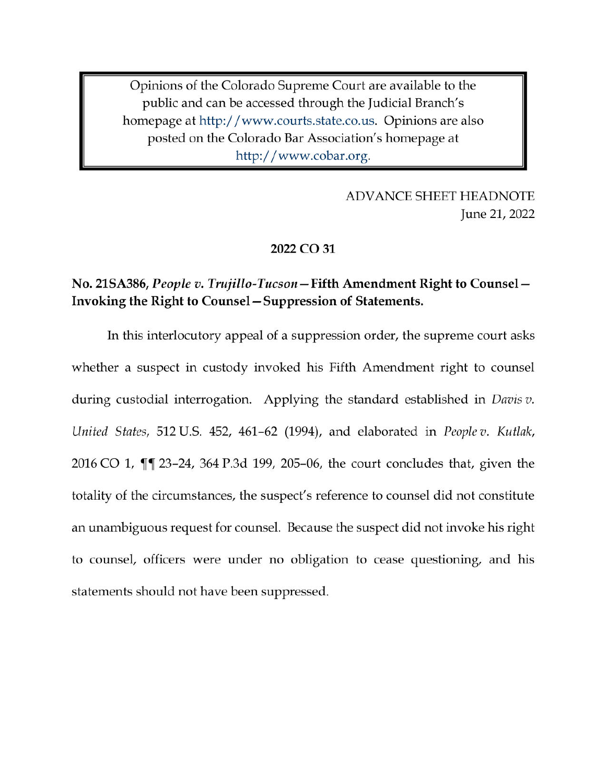Opinions of the Colorado Supreme Court are available to the public and can be accessed through the Judicial Branch's homepage at http://www.courts.state.co.us. Opinions are also posted on the Colorado Bar Association's homepage at http://www.cobar.org.

> **ADVANCE SHEET HEADNOTE** June 21, 2022

#### 2022 CO 31

# No. 21SA386, People v. Trujillo-Tucson – Fifth Amendment Right to Counsel – Invoking the Right to Counsel – Suppression of Statements.

In this interlocutory appeal of a suppression order, the supreme court asks whether a suspect in custody invoked his Fifth Amendment right to counsel during custodial interrogation. Applying the standard established in *Davis v*. United States, 512 U.S. 452, 461-62 (1994), and elaborated in People v. Kutlak, 2016 CO 1, ¶¶ 23-24, 364 P.3d 199, 205-06, the court concludes that, given the totality of the circumstances, the suspect's reference to counsel did not constitute an unambiguous request for counsel. Because the suspect did not invoke his right to counsel, officers were under no obligation to cease questioning, and his statements should not have been suppressed.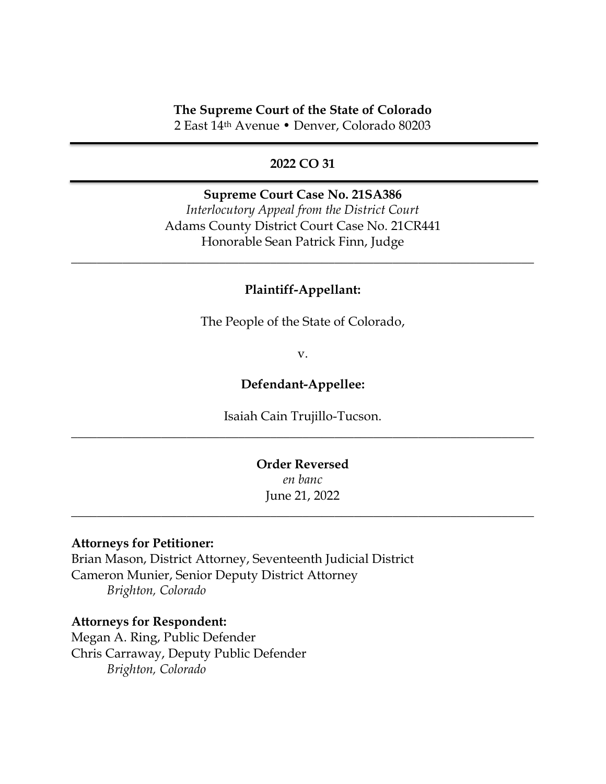#### **The Supreme Court of the State of Colorado**

2 East 14th Avenue • Denver, Colorado 80203

### **2022 CO 31**

#### **Supreme Court Case No. 21SA386**

*Interlocutory Appeal from the District Court* Adams County District Court Case No. 21CR441 Honorable Sean Patrick Finn, Judge

### **Plaintiff-Appellant:**

\_\_\_\_\_\_\_\_\_\_\_\_\_\_\_\_\_\_\_\_\_\_\_\_\_\_\_\_\_\_\_\_\_\_\_\_\_\_\_\_\_\_\_\_\_\_\_\_\_\_\_\_\_\_\_\_\_\_\_\_\_\_\_\_\_\_\_\_\_\_\_\_

The People of the State of Colorado,

v.

### **Defendant-Appellee:**

Isaiah Cain Trujillo-Tucson. \_\_\_\_\_\_\_\_\_\_\_\_\_\_\_\_\_\_\_\_\_\_\_\_\_\_\_\_\_\_\_\_\_\_\_\_\_\_\_\_\_\_\_\_\_\_\_\_\_\_\_\_\_\_\_\_\_\_\_\_\_\_\_\_\_\_\_\_\_\_\_\_

## **Order Reversed** *en banc* June 21, 2022

\_\_\_\_\_\_\_\_\_\_\_\_\_\_\_\_\_\_\_\_\_\_\_\_\_\_\_\_\_\_\_\_\_\_\_\_\_\_\_\_\_\_\_\_\_\_\_\_\_\_\_\_\_\_\_\_\_\_\_\_\_\_\_\_\_\_\_\_\_\_\_\_

#### **Attorneys for Petitioner:**

Brian Mason, District Attorney, Seventeenth Judicial District Cameron Munier, Senior Deputy District Attorney *Brighton, Colorado*

#### **Attorneys for Respondent:**

Megan A. Ring, Public Defender Chris Carraway, Deputy Public Defender *Brighton, Colorado*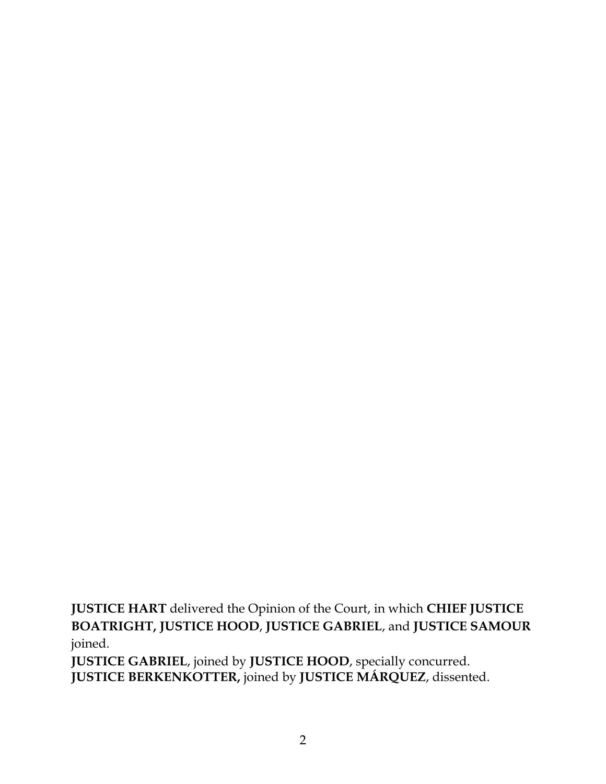**JUSTICE HART** delivered the Opinion of the Court, in which **CHIEF JUSTICE BOATRIGHT, JUSTICE HOOD**, **JUSTICE GABRIEL**, and **JUSTICE SAMOUR** joined.

**JUSTICE GABRIEL**, joined by **JUSTICE HOOD**, specially concurred. **JUSTICE BERKENKOTTER,** joined by **JUSTICE MÁRQUEZ**, dissented.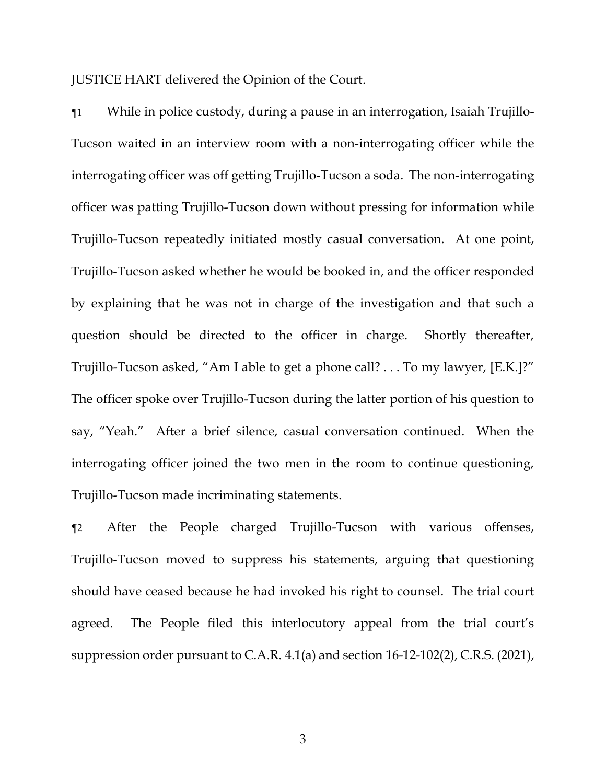JUSTICE HART delivered the Opinion of the Court.

¶1 While in police custody, during a pause in an interrogation, Isaiah Trujillo-Tucson waited in an interview room with a non-interrogating officer while the interrogating officer was off getting Trujillo-Tucson a soda. The non-interrogating officer was patting Trujillo-Tucson down without pressing for information while Trujillo-Tucson repeatedly initiated mostly casual conversation. At one point, Trujillo-Tucson asked whether he would be booked in, and the officer responded by explaining that he was not in charge of the investigation and that such a question should be directed to the officer in charge. Shortly thereafter, Trujillo-Tucson asked, "Am I able to get a phone call? . . . To my lawyer, [E.K.]?" The officer spoke over Trujillo-Tucson during the latter portion of his question to say, "Yeah." After a brief silence, casual conversation continued. When the interrogating officer joined the two men in the room to continue questioning, Trujillo-Tucson made incriminating statements.

¶2 After the People charged Trujillo-Tucson with various offenses, Trujillo-Tucson moved to suppress his statements, arguing that questioning should have ceased because he had invoked his right to counsel. The trial court agreed. The People filed this interlocutory appeal from the trial court's suppression order pursuant to C.A.R. 4.1(a) and section 16-12-102(2), C.R.S. (2021),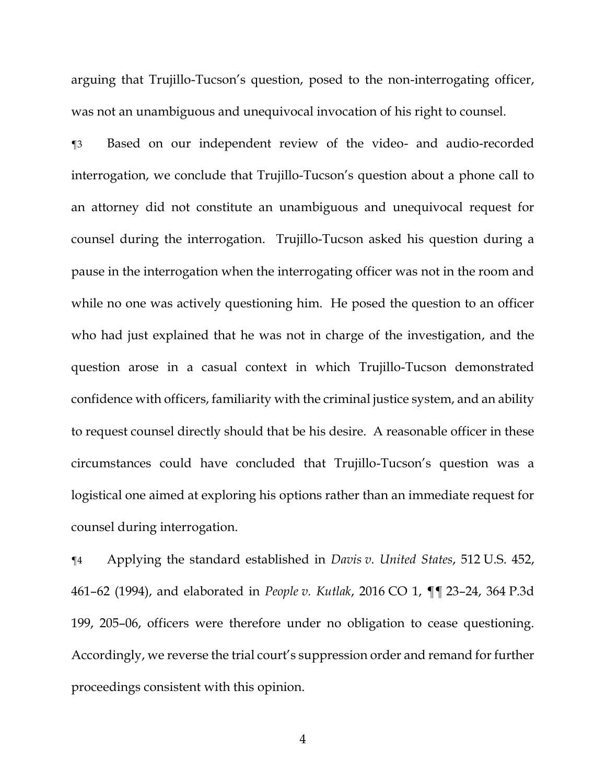arguing that Trujillo-Tucson's question, posed to the non-interrogating officer, was not an unambiguous and unequivocal invocation of his right to counsel.

¶3 Based on our independent review of the video- and audio-recorded interrogation, we conclude that Trujillo-Tucson's question about a phone call to an attorney did not constitute an unambiguous and unequivocal request for counsel during the interrogation. Trujillo-Tucson asked his question during a pause in the interrogation when the interrogating officer was not in the room and while no one was actively questioning him. He posed the question to an officer who had just explained that he was not in charge of the investigation, and the question arose in a casual context in which Trujillo-Tucson demonstrated confidence with officers, familiarity with the criminal justice system, and an ability to request counsel directly should that be his desire. A reasonable officer in these circumstances could have concluded that Trujillo-Tucson's question was a logistical one aimed at exploring his options rather than an immediate request for counsel during interrogation.

¶4 Applying the standard established in *Davis v. United States*, 512 U.S. 452, 461–62 (1994), and elaborated in *People v. Kutlak*, 2016 CO 1, ¶¶ 23–24, 364 P.3d 199, 205–06, officers were therefore under no obligation to cease questioning. Accordingly, we reverse the trial court's suppression order and remand for further proceedings consistent with this opinion.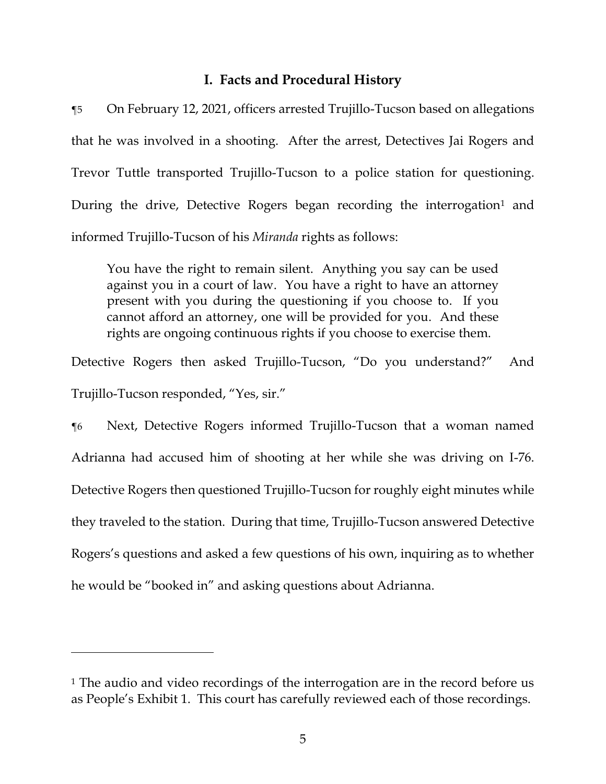# **I. Facts and Procedural History**

¶5 On February 12, 2021, officers arrested Trujillo-Tucson based on allegations that he was involved in a shooting. After the arrest, Detectives Jai Rogers and Trevor Tuttle transported Trujillo-Tucson to a police station for questioning. During the drive, Detective Rogers began recording the interrogation<sup>1</sup> and informed Trujillo-Tucson of his *Miranda* rights as follows:

You have the right to remain silent. Anything you say can be used against you in a court of law. You have a right to have an attorney present with you during the questioning if you choose to. If you cannot afford an attorney, one will be provided for you. And these rights are ongoing continuous rights if you choose to exercise them.

Detective Rogers then asked Trujillo-Tucson, "Do you understand?" And Trujillo-Tucson responded, "Yes, sir."

¶6 Next, Detective Rogers informed Trujillo-Tucson that a woman named Adrianna had accused him of shooting at her while she was driving on I-76. Detective Rogers then questioned Trujillo-Tucson for roughly eight minutes while they traveled to the station. During that time, Trujillo-Tucson answered Detective Rogers's questions and asked a few questions of his own, inquiring as to whether he would be "booked in" and asking questions about Adrianna.

<sup>&</sup>lt;sup>1</sup> The audio and video recordings of the interrogation are in the record before us as People's Exhibit 1. This court has carefully reviewed each of those recordings.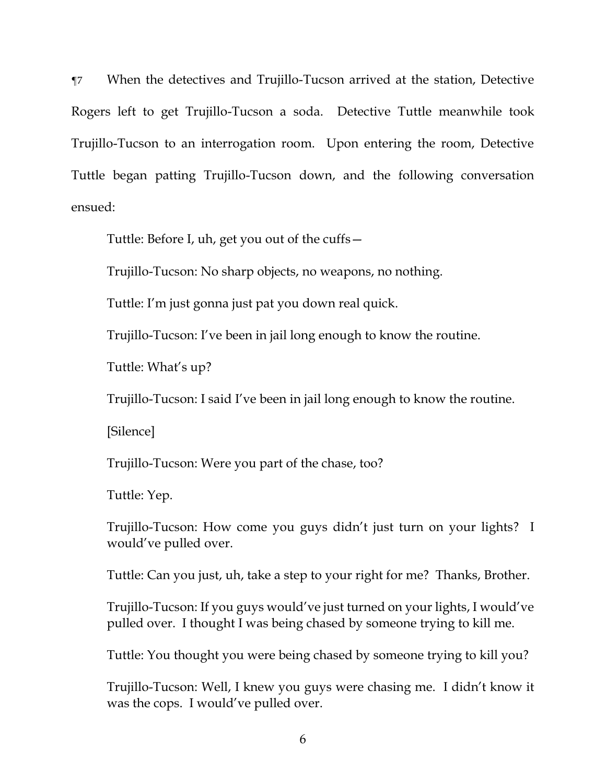¶7 When the detectives and Trujillo-Tucson arrived at the station, Detective Rogers left to get Trujillo-Tucson a soda. Detective Tuttle meanwhile took Trujillo-Tucson to an interrogation room. Upon entering the room, Detective Tuttle began patting Trujillo-Tucson down, and the following conversation ensued:

Tuttle: Before I, uh, get you out of the cuffs—

Trujillo-Tucson: No sharp objects, no weapons, no nothing.

Tuttle: I'm just gonna just pat you down real quick.

Trujillo-Tucson: I've been in jail long enough to know the routine.

Tuttle: What's up?

Trujillo-Tucson: I said I've been in jail long enough to know the routine.

[Silence]

Trujillo-Tucson: Were you part of the chase, too?

Tuttle: Yep.

Trujillo-Tucson: How come you guys didn't just turn on your lights? I would've pulled over.

Tuttle: Can you just, uh, take a step to your right for me? Thanks, Brother.

Trujillo-Tucson: If you guys would've just turned on your lights, I would've pulled over. I thought I was being chased by someone trying to kill me.

Tuttle: You thought you were being chased by someone trying to kill you?

Trujillo-Tucson: Well, I knew you guys were chasing me. I didn't know it was the cops. I would've pulled over.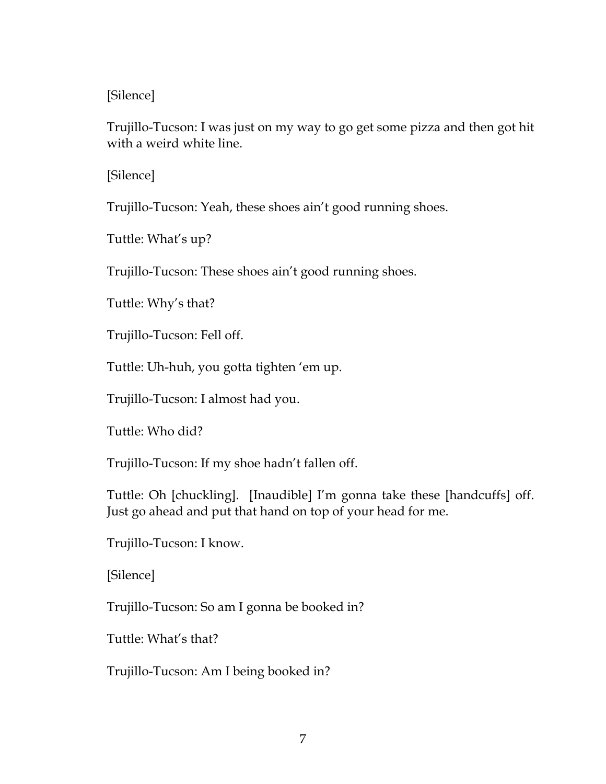# [Silence]

Trujillo-Tucson: I was just on my way to go get some pizza and then got hit with a weird white line.

[Silence]

Trujillo-Tucson: Yeah, these shoes ain't good running shoes.

Tuttle: What's up?

Trujillo-Tucson: These shoes ain't good running shoes.

Tuttle: Why's that?

Trujillo-Tucson: Fell off.

Tuttle: Uh-huh, you gotta tighten 'em up.

Trujillo-Tucson: I almost had you.

Tuttle: Who did?

Trujillo-Tucson: If my shoe hadn't fallen off.

Tuttle: Oh [chuckling]. [Inaudible] I'm gonna take these [handcuffs] off. Just go ahead and put that hand on top of your head for me.

Trujillo-Tucson: I know.

[Silence]

Trujillo-Tucson: So am I gonna be booked in?

Tuttle: What's that?

Trujillo-Tucson: Am I being booked in?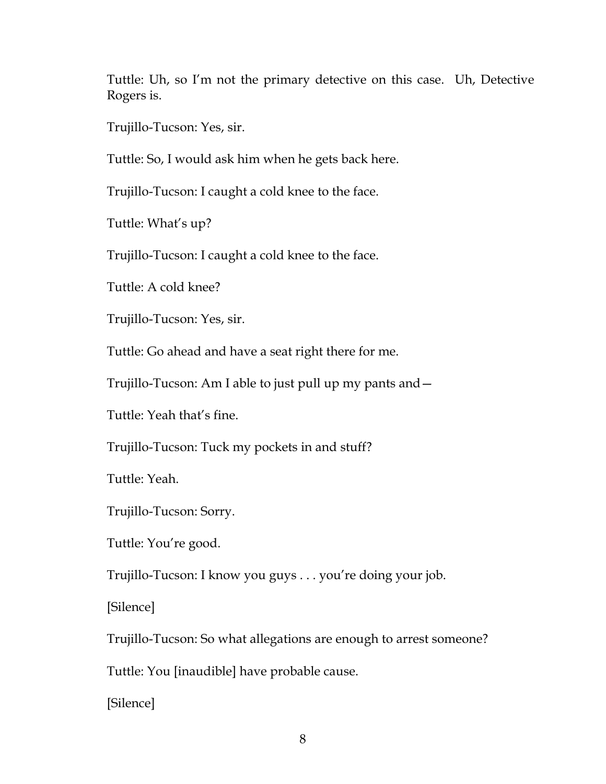Tuttle: Uh, so I'm not the primary detective on this case. Uh, Detective Rogers is.

Trujillo-Tucson: Yes, sir.

Tuttle: So, I would ask him when he gets back here.

Trujillo-Tucson: I caught a cold knee to the face.

Tuttle: What's up?

Trujillo-Tucson: I caught a cold knee to the face.

Tuttle: A cold knee?

Trujillo-Tucson: Yes, sir.

Tuttle: Go ahead and have a seat right there for me.

Trujillo-Tucson: Am I able to just pull up my pants and—

Tuttle: Yeah that's fine.

Trujillo-Tucson: Tuck my pockets in and stuff?

Tuttle: Yeah.

Trujillo-Tucson: Sorry.

Tuttle: You're good.

Trujillo-Tucson: I know you guys . . . you're doing your job.

[Silence]

Trujillo-Tucson: So what allegations are enough to arrest someone?

Tuttle: You [inaudible] have probable cause.

[Silence]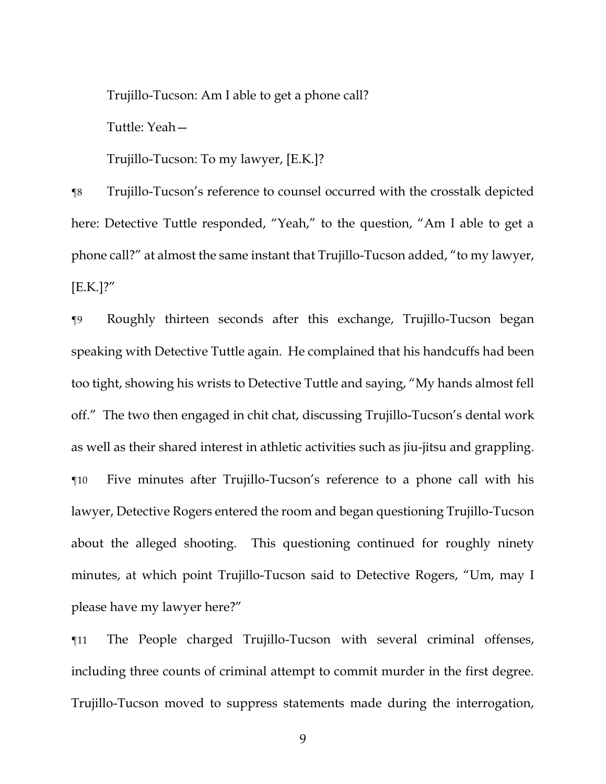Trujillo-Tucson: Am I able to get a phone call?

Tuttle: Yeah—

Trujillo-Tucson: To my lawyer, [E.K.]?

¶8 Trujillo-Tucson's reference to counsel occurred with the crosstalk depicted here: Detective Tuttle responded, "Yeah," to the question, "Am I able to get a phone call?" at almost the same instant that Trujillo-Tucson added, "to my lawyer, [E.K.]?"

¶9 Roughly thirteen seconds after this exchange, Trujillo-Tucson began speaking with Detective Tuttle again. He complained that his handcuffs had been too tight, showing his wrists to Detective Tuttle and saying, "My hands almost fell off." The two then engaged in chit chat, discussing Trujillo-Tucson's dental work as well as their shared interest in athletic activities such as jiu-jitsu and grappling. ¶10 Five minutes after Trujillo-Tucson's reference to a phone call with his lawyer, Detective Rogers entered the room and began questioning Trujillo-Tucson about the alleged shooting. This questioning continued for roughly ninety minutes, at which point Trujillo-Tucson said to Detective Rogers, "Um, may I please have my lawyer here?"

¶11 The People charged Trujillo-Tucson with several criminal offenses, including three counts of criminal attempt to commit murder in the first degree. Trujillo-Tucson moved to suppress statements made during the interrogation,

9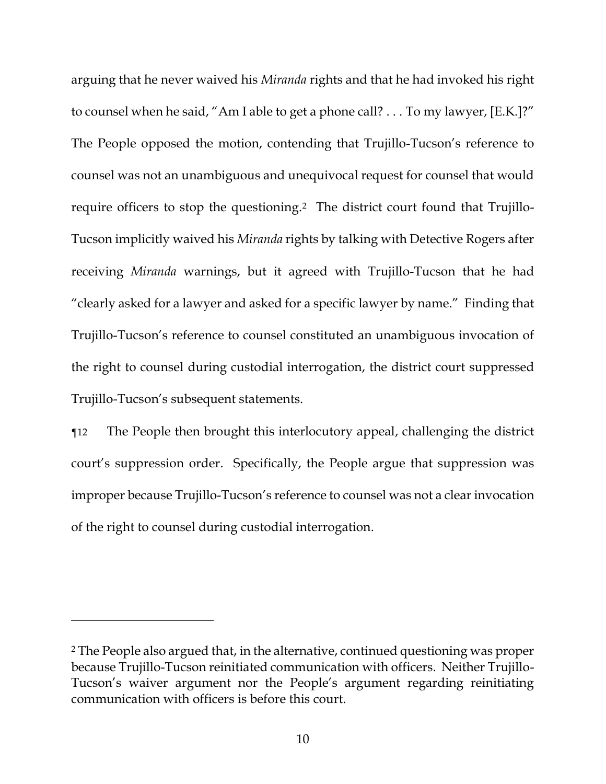arguing that he never waived his *Miranda* rights and that he had invoked his right to counsel when he said, "Am I able to get a phone call? . . . To my lawyer, [E.K.]?" The People opposed the motion, contending that Trujillo-Tucson's reference to counsel was not an unambiguous and unequivocal request for counsel that would require officers to stop the questioning. 2 The district court found that Trujillo-Tucson implicitly waived his *Miranda* rights by talking with Detective Rogers after receiving *Miranda* warnings, but it agreed with Trujillo-Tucson that he had "clearly asked for a lawyer and asked for a specific lawyer by name." Finding that Trujillo-Tucson's reference to counsel constituted an unambiguous invocation of the right to counsel during custodial interrogation, the district court suppressed Trujillo-Tucson's subsequent statements.

¶12 The People then brought this interlocutory appeal, challenging the district court's suppression order. Specifically, the People argue that suppression was improper because Trujillo-Tucson's reference to counsel was not a clear invocation of the right to counsel during custodial interrogation.

<sup>2</sup> The People also argued that, in the alternative, continued questioning was proper because Trujillo-Tucson reinitiated communication with officers. Neither Trujillo-Tucson's waiver argument nor the People's argument regarding reinitiating communication with officers is before this court.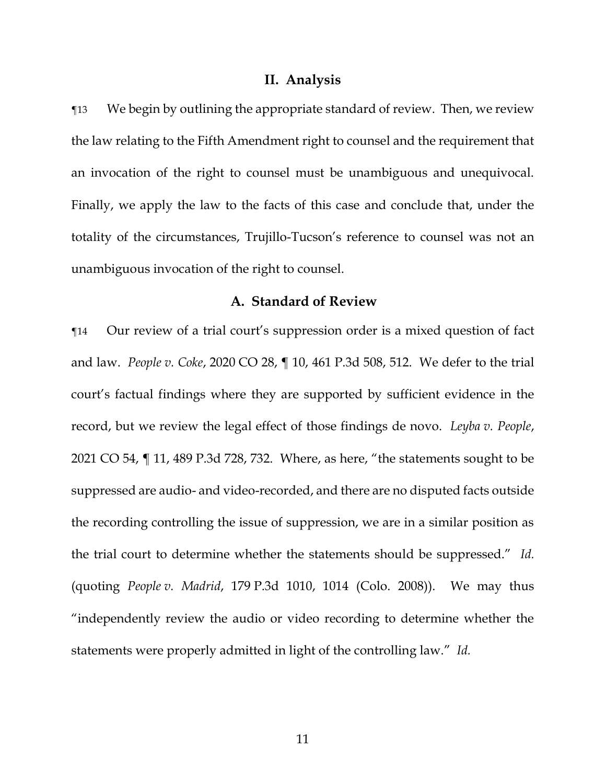#### **II. Analysis**

¶13 We begin by outlining the appropriate standard of review. Then, we review the law relating to the Fifth Amendment right to counsel and the requirement that an invocation of the right to counsel must be unambiguous and unequivocal. Finally, we apply the law to the facts of this case and conclude that, under the totality of the circumstances, Trujillo-Tucson's reference to counsel was not an unambiguous invocation of the right to counsel.

### **A. Standard of Review**

¶14 Our review of a trial court's suppression order is a mixed question of fact and law. *People v. Coke*, 2020 CO 28, ¶ 10, 461 P.3d 508, 512. We defer to the trial court's factual findings where they are supported by sufficient evidence in the record, but we review the legal effect of those findings de novo. *Leyba v. People*, 2021 CO 54, ¶ 11, 489 P.3d 728, 732. Where, as here, "the statements sought to be suppressed are audio- and video-recorded, and there are no disputed facts outside the recording controlling the issue of suppression, we are in a similar position as the trial court to determine whether the statements should be suppressed." *Id.* (quoting *People v. Madrid*, 179 P.3d 1010, 1014 (Colo. 2008)). We may thus "independently review the audio or video recording to determine whether the statements were properly admitted in light of the controlling law." *Id.*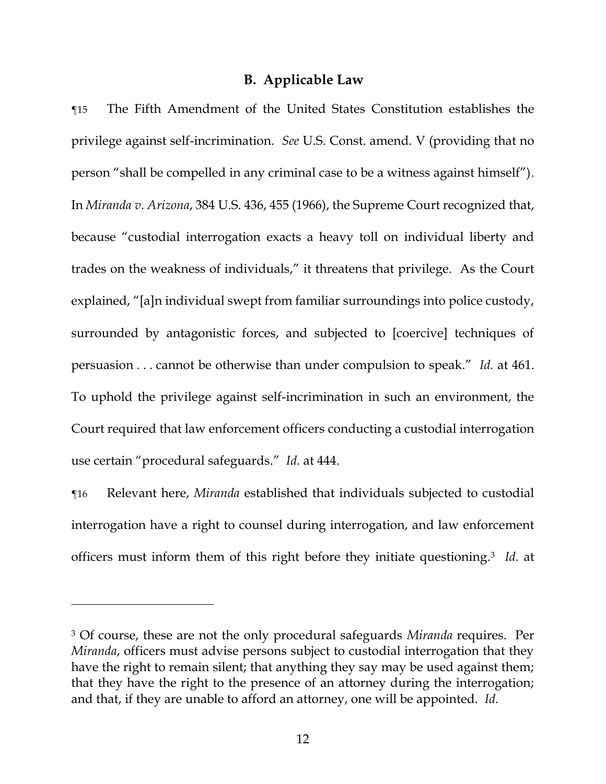### **B. Applicable Law**

¶15 The Fifth Amendment of the United States Constitution establishes the privilege against self-incrimination. *See* U.S. Const. amend. V (providing that no person "shall be compelled in any criminal case to be a witness against himself"). In *Miranda v. Arizona*, 384 U.S. 436, 455 (1966), the Supreme Court recognized that, because "custodial interrogation exacts a heavy toll on individual liberty and trades on the weakness of individuals," it threatens that privilege. As the Court explained, "[a]n individual swept from familiar surroundings into police custody, surrounded by antagonistic forces, and subjected to [coercive] techniques of persuasion . . . cannot be otherwise than under compulsion to speak." *Id.* at 461. To uphold the privilege against self-incrimination in such an environment, the Court required that law enforcement officers conducting a custodial interrogation use certain "procedural safeguards." *Id.* at 444.

¶16 Relevant here, *Miranda* established that individuals subjected to custodial interrogation have a right to counsel during interrogation, and law enforcement officers must inform them of this right before they initiate questioning. <sup>3</sup> *Id.* at

<sup>3</sup> Of course, these are not the only procedural safeguards *Miranda* requires. Per *Miranda*, officers must advise persons subject to custodial interrogation that they have the right to remain silent; that anything they say may be used against them; that they have the right to the presence of an attorney during the interrogation; and that, if they are unable to afford an attorney, one will be appointed. *Id.*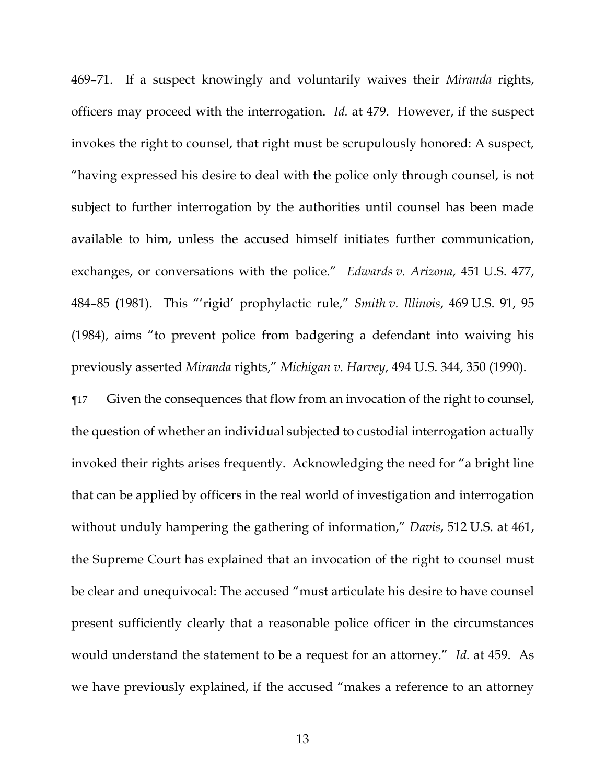469–71. If a suspect knowingly and voluntarily waives their *Miranda* rights, officers may proceed with the interrogation. *Id.* at 479. However, if the suspect invokes the right to counsel, that right must be scrupulously honored: A suspect, "having expressed his desire to deal with the police only through counsel, is not subject to further interrogation by the authorities until counsel has been made available to him, unless the accused himself initiates further communication, exchanges, or conversations with the police." *Edwards v. Arizona*, 451 U.S. 477, 484–85 (1981). This "'rigid' prophylactic rule," *Smith v. Illinois*, 469 U.S. 91, 95 (1984), aims "to prevent police from badgering a defendant into waiving his previously asserted *Miranda* rights," *Michigan v. Harvey*, 494 U.S. 344, 350 (1990).

¶17 Given the consequences that flow from an invocation of the right to counsel, the question of whether an individual subjected to custodial interrogation actually invoked their rights arises frequently. Acknowledging the need for "a bright line that can be applied by officers in the real world of investigation and interrogation without unduly hampering the gathering of information," *Davis*, 512 U.S. at 461, the Supreme Court has explained that an invocation of the right to counsel must be clear and unequivocal: The accused "must articulate his desire to have counsel present sufficiently clearly that a reasonable police officer in the circumstances would understand the statement to be a request for an attorney." *Id.* at 459. As we have previously explained, if the accused "makes a reference to an attorney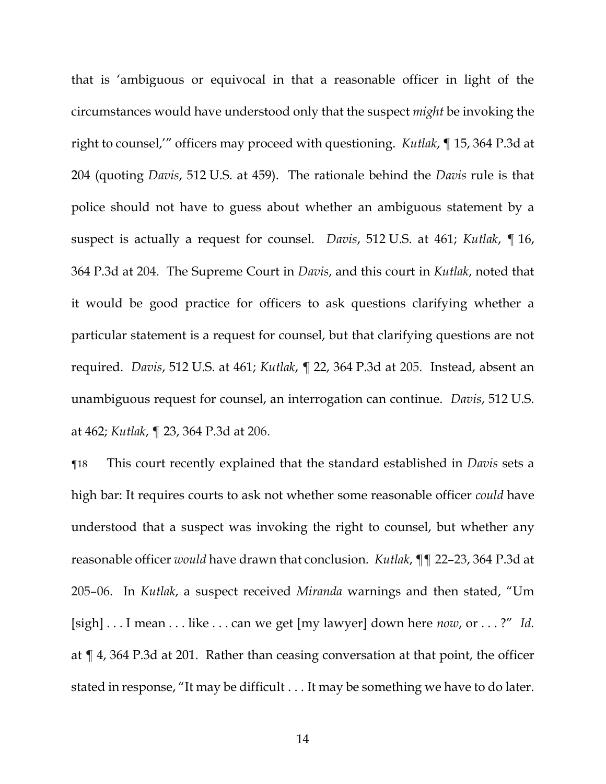that is 'ambiguous or equivocal in that a reasonable officer in light of the circumstances would have understood only that the suspect *might* be invoking the right to counsel,'" officers may proceed with questioning. *Kutlak*, ¶ 15, 364 P.3d at 204 (quoting *Davis*, 512 U.S. at 459). The rationale behind the *Davis* rule is that police should not have to guess about whether an ambiguous statement by a suspect is actually a request for counsel. *Davis*, 512 U.S. at 461; *Kutlak*, ¶ 16, 364 P.3d at 204. The Supreme Court in *Davis*, and this court in *Kutlak*, noted that it would be good practice for officers to ask questions clarifying whether a particular statement is a request for counsel, but that clarifying questions are not required. *Davis*, 512 U.S. at 461; *Kutlak*, ¶ 22, 364 P.3d at 205. Instead, absent an unambiguous request for counsel, an interrogation can continue. *Davis*, 512 U.S. at 462; *Kutlak*, ¶ 23, 364 P.3d at 206.

¶18 This court recently explained that the standard established in *Davis* sets a high bar: It requires courts to ask not whether some reasonable officer *could* have understood that a suspect was invoking the right to counsel, but whether any reasonable officer *would* have drawn that conclusion. *Kutlak*, ¶¶ 22–23, 364 P.3d at 205–06. In *Kutlak*, a suspect received *Miranda* warnings and then stated, "Um [sigh] . . . I mean . . . like . . . can we get [my lawyer] down here *now*, or . . . ?" *Id.* at ¶ 4, 364 P.3d at 201. Rather than ceasing conversation at that point, the officer stated in response, "It may be difficult . . . It may be something we have to do later.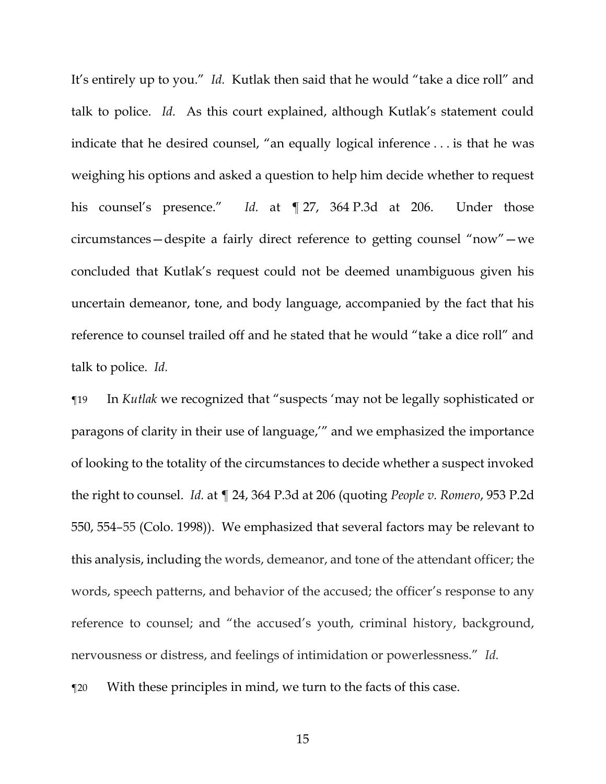It's entirely up to you." *Id.* Kutlak then said that he would "take a dice roll" and talk to police. *Id.* As this court explained, although Kutlak's statement could indicate that he desired counsel, "an equally logical inference . . . is that he was weighing his options and asked a question to help him decide whether to request his counsel's presence." *Id.* at ¶ 27, 364 P.3d at 206. Under those circumstances—despite a fairly direct reference to getting counsel "now"—we concluded that Kutlak's request could not be deemed unambiguous given his uncertain demeanor, tone, and body language, accompanied by the fact that his reference to counsel trailed off and he stated that he would "take a dice roll" and talk to police. *Id.*

¶19 In *Kutlak* we recognized that "suspects 'may not be legally sophisticated or paragons of clarity in their use of language,'" and we emphasized the importance of looking to the totality of the circumstances to decide whether a suspect invoked the right to counsel. *Id.* at ¶ 24, 364 P.3d at 206 (quoting *People v. Romero*, 953 P.2d 550, 554–55 (Colo. 1998)). We emphasized that several factors may be relevant to this analysis, including the words, demeanor, and tone of the attendant officer; the words, speech patterns, and behavior of the accused; the officer's response to any reference to counsel; and "the accused's youth, criminal history, background, nervousness or distress, and feelings of intimidation or powerlessness." *Id.*

¶20 With these principles in mind, we turn to the facts of this case.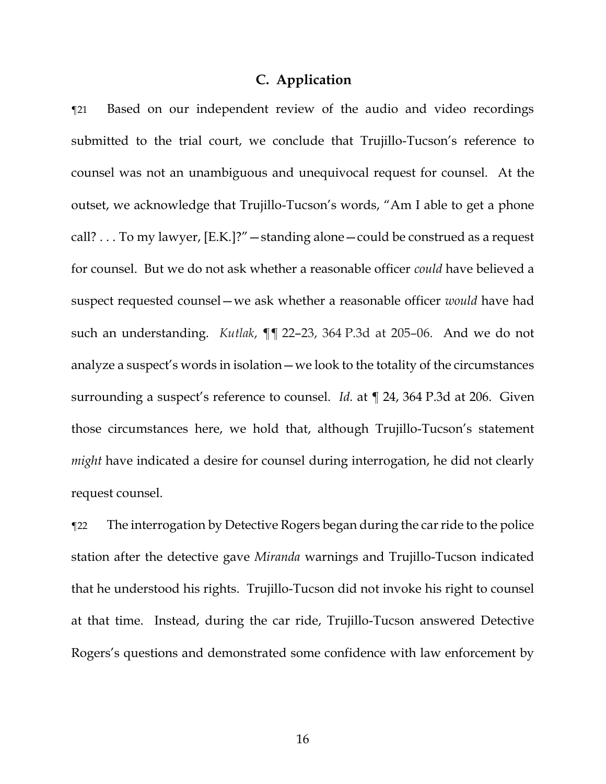### **C. Application**

¶21 Based on our independent review of the audio and video recordings submitted to the trial court, we conclude that Trujillo-Tucson's reference to counsel was not an unambiguous and unequivocal request for counsel. At the outset, we acknowledge that Trujillo-Tucson's words, "Am I able to get a phone call? . . . To my lawyer, [E.K.]?"—standing alone—could be construed as a request for counsel. But we do not ask whether a reasonable officer *could* have believed a suspect requested counsel—we ask whether a reasonable officer *would* have had such an understanding. *Kutlak*, ¶¶ 22–23, 364 P.3d at 205–06. And we do not analyze a suspect's words in isolation—we look to the totality of the circumstances surrounding a suspect's reference to counsel. *Id.* at ¶ 24, 364 P.3d at 206. Given those circumstances here, we hold that, although Trujillo-Tucson's statement *might* have indicated a desire for counsel during interrogation, he did not clearly request counsel.

¶22 The interrogation by Detective Rogers began during the car ride to the police station after the detective gave *Miranda* warnings and Trujillo-Tucson indicated that he understood his rights. Trujillo-Tucson did not invoke his right to counsel at that time. Instead, during the car ride, Trujillo-Tucson answered Detective Rogers's questions and demonstrated some confidence with law enforcement by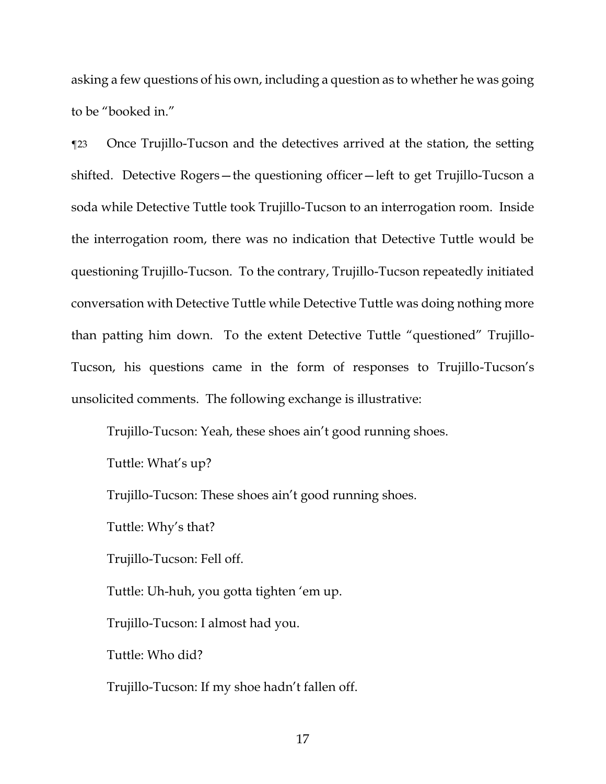asking a few questions of his own, including a question as to whether he was going to be "booked in."

¶23 Once Trujillo-Tucson and the detectives arrived at the station, the setting shifted. Detective Rogers—the questioning officer—left to get Trujillo-Tucson a soda while Detective Tuttle took Trujillo-Tucson to an interrogation room. Inside the interrogation room, there was no indication that Detective Tuttle would be questioning Trujillo-Tucson. To the contrary, Trujillo-Tucson repeatedly initiated conversation with Detective Tuttle while Detective Tuttle was doing nothing more than patting him down. To the extent Detective Tuttle "questioned" Trujillo-Tucson, his questions came in the form of responses to Trujillo-Tucson's unsolicited comments. The following exchange is illustrative:

Trujillo-Tucson: Yeah, these shoes ain't good running shoes.

Tuttle: What's up?

Trujillo-Tucson: These shoes ain't good running shoes.

Tuttle: Why's that?

Trujillo-Tucson: Fell off.

Tuttle: Uh-huh, you gotta tighten 'em up.

Trujillo-Tucson: I almost had you.

Tuttle: Who did?

Trujillo-Tucson: If my shoe hadn't fallen off.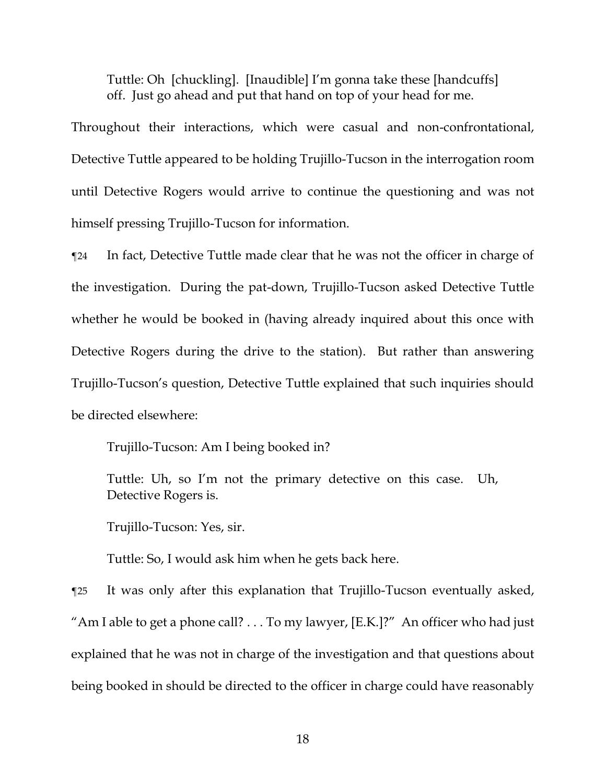Tuttle: Oh [chuckling]. [Inaudible] I'm gonna take these [handcuffs] off. Just go ahead and put that hand on top of your head for me.

Throughout their interactions, which were casual and non-confrontational, Detective Tuttle appeared to be holding Trujillo-Tucson in the interrogation room until Detective Rogers would arrive to continue the questioning and was not himself pressing Trujillo-Tucson for information.

¶24 In fact, Detective Tuttle made clear that he was not the officer in charge of the investigation. During the pat-down, Trujillo-Tucson asked Detective Tuttle whether he would be booked in (having already inquired about this once with Detective Rogers during the drive to the station). But rather than answering Trujillo-Tucson's question, Detective Tuttle explained that such inquiries should be directed elsewhere:

Trujillo-Tucson: Am I being booked in?

Tuttle: Uh, so I'm not the primary detective on this case. Uh, Detective Rogers is.

Trujillo-Tucson: Yes, sir.

Tuttle: So, I would ask him when he gets back here.

¶25 It was only after this explanation that Trujillo-Tucson eventually asked, "Am I able to get a phone call? . . . To my lawyer, [E.K.]?" An officer who had just explained that he was not in charge of the investigation and that questions about being booked in should be directed to the officer in charge could have reasonably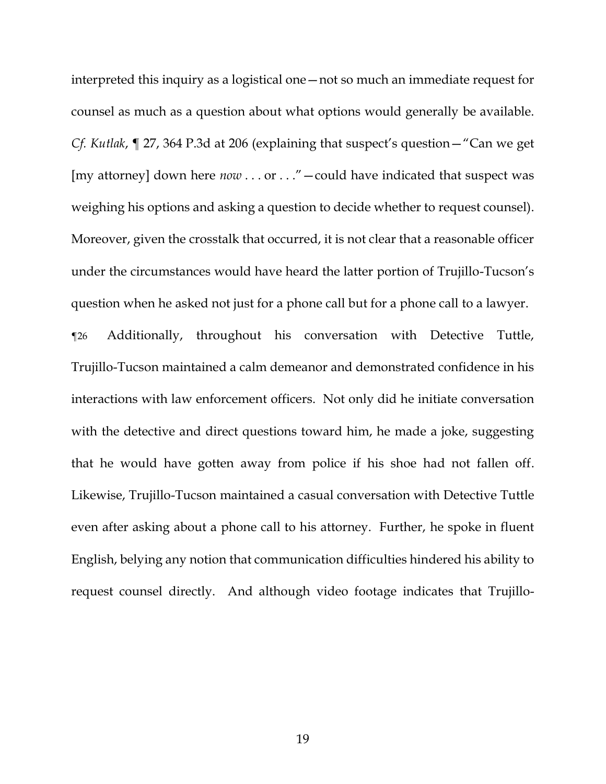interpreted this inquiry as a logistical one—not so much an immediate request for counsel as much as a question about what options would generally be available. *Cf. Kutlak*, ¶ 27, 364 P.3d at 206 (explaining that suspect's question—"Can we get [my attorney] down here  $now \dots or \dots$ " - could have indicated that suspect was weighing his options and asking a question to decide whether to request counsel). Moreover, given the crosstalk that occurred, it is not clear that a reasonable officer under the circumstances would have heard the latter portion of Trujillo-Tucson's question when he asked not just for a phone call but for a phone call to a lawyer.

¶26 Additionally, throughout his conversation with Detective Tuttle, Trujillo-Tucson maintained a calm demeanor and demonstrated confidence in his interactions with law enforcement officers. Not only did he initiate conversation with the detective and direct questions toward him, he made a joke, suggesting that he would have gotten away from police if his shoe had not fallen off. Likewise, Trujillo-Tucson maintained a casual conversation with Detective Tuttle even after asking about a phone call to his attorney. Further, he spoke in fluent English, belying any notion that communication difficulties hindered his ability to request counsel directly. And although video footage indicates that Trujillo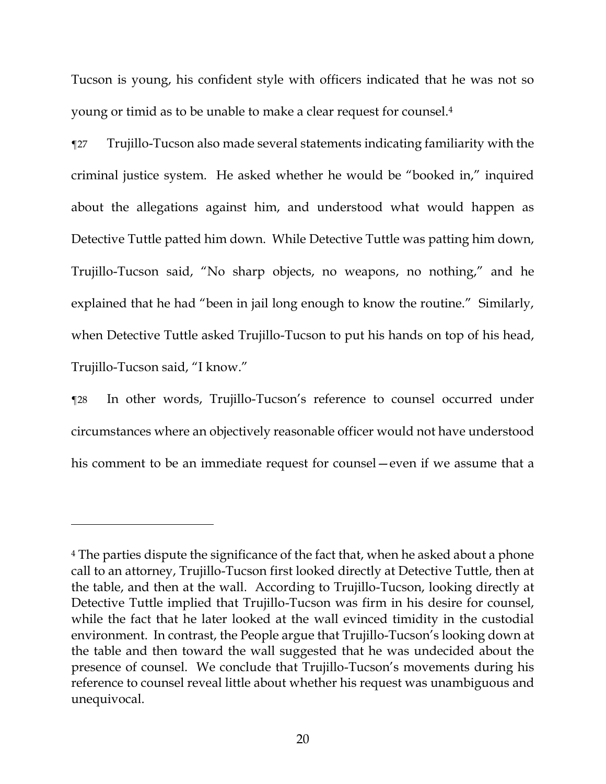Tucson is young, his confident style with officers indicated that he was not so young or timid as to be unable to make a clear request for counsel.<sup>4</sup>

¶27 Trujillo-Tucson also made several statements indicating familiarity with the criminal justice system. He asked whether he would be "booked in," inquired about the allegations against him, and understood what would happen as Detective Tuttle patted him down. While Detective Tuttle was patting him down, Trujillo-Tucson said, "No sharp objects, no weapons, no nothing," and he explained that he had "been in jail long enough to know the routine." Similarly, when Detective Tuttle asked Trujillo-Tucson to put his hands on top of his head, Trujillo-Tucson said, "I know."

¶28 In other words, Trujillo-Tucson's reference to counsel occurred under circumstances where an objectively reasonable officer would not have understood his comment to be an immediate request for counsel—even if we assume that a

<sup>4</sup> The parties dispute the significance of the fact that, when he asked about a phone call to an attorney, Trujillo-Tucson first looked directly at Detective Tuttle, then at the table, and then at the wall. According to Trujillo-Tucson, looking directly at Detective Tuttle implied that Trujillo-Tucson was firm in his desire for counsel, while the fact that he later looked at the wall evinced timidity in the custodial environment. In contrast, the People argue that Trujillo-Tucson's looking down at the table and then toward the wall suggested that he was undecided about the presence of counsel. We conclude that Trujillo-Tucson's movements during his reference to counsel reveal little about whether his request was unambiguous and unequivocal.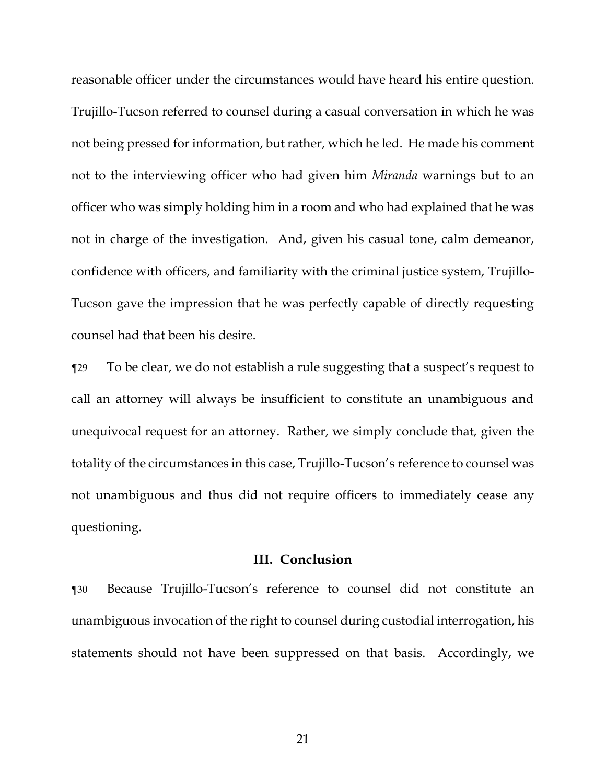reasonable officer under the circumstances would have heard his entire question. Trujillo-Tucson referred to counsel during a casual conversation in which he was not being pressed for information, but rather, which he led. He made his comment not to the interviewing officer who had given him *Miranda* warnings but to an officer who was simply holding him in a room and who had explained that he was not in charge of the investigation. And, given his casual tone, calm demeanor, confidence with officers, and familiarity with the criminal justice system, Trujillo-Tucson gave the impression that he was perfectly capable of directly requesting counsel had that been his desire.

¶29 To be clear, we do not establish a rule suggesting that a suspect's request to call an attorney will always be insufficient to constitute an unambiguous and unequivocal request for an attorney. Rather, we simply conclude that, given the totality of the circumstances in this case, Trujillo-Tucson's reference to counsel was not unambiguous and thus did not require officers to immediately cease any questioning.

## **III. Conclusion**

¶30 Because Trujillo-Tucson's reference to counsel did not constitute an unambiguous invocation of the right to counsel during custodial interrogation, his statements should not have been suppressed on that basis. Accordingly, we

21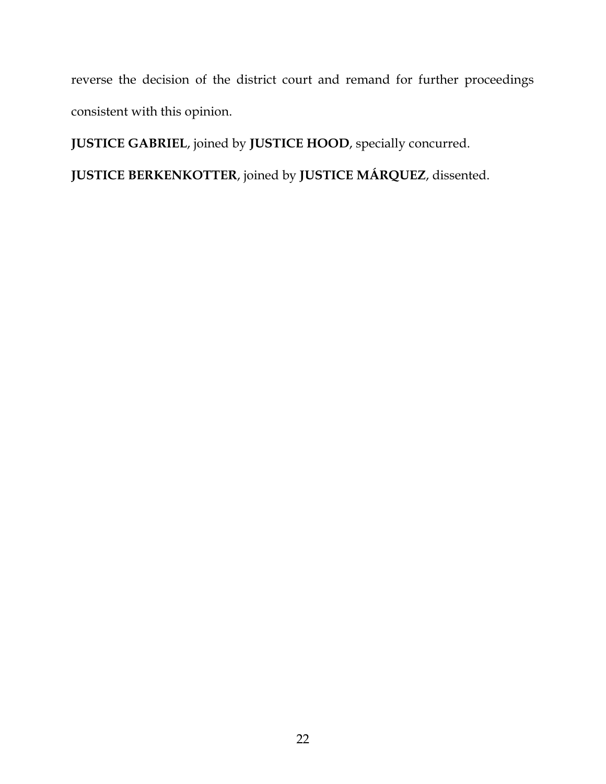reverse the decision of the district court and remand for further proceedings consistent with this opinion.

**JUSTICE GABRIEL**, joined by **JUSTICE HOOD**, specially concurred.

**JUSTICE BERKENKOTTER**, joined by **JUSTICE MÁRQUEZ**, dissented.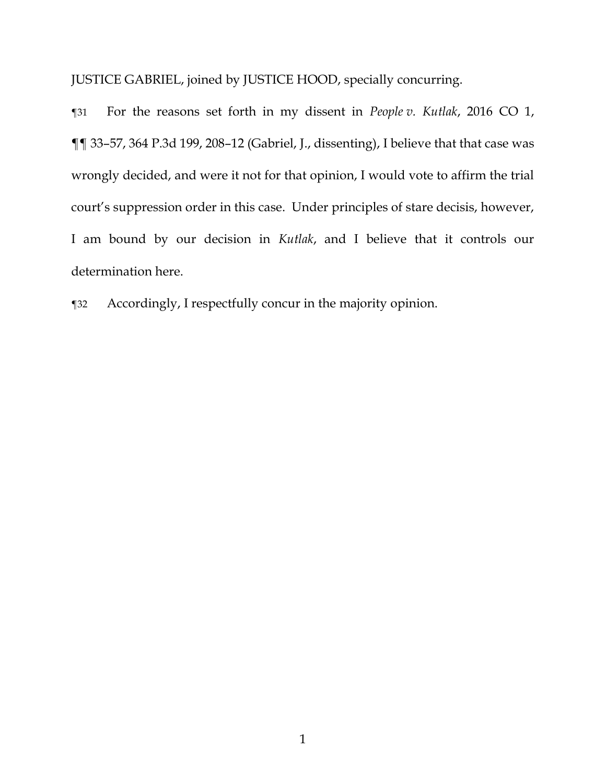JUSTICE GABRIEL, joined by JUSTICE HOOD, specially concurring.

¶31 For the reasons set forth in my dissent in *People v. Kutlak*, 2016 CO 1, ¶¶ 33–57, 364 P.3d 199, 208–12 (Gabriel, J., dissenting), I believe that that case was wrongly decided, and were it not for that opinion, I would vote to affirm the trial court's suppression order in this case. Under principles of stare decisis, however, I am bound by our decision in *Kutlak*, and I believe that it controls our determination here.

¶32 Accordingly, I respectfully concur in the majority opinion.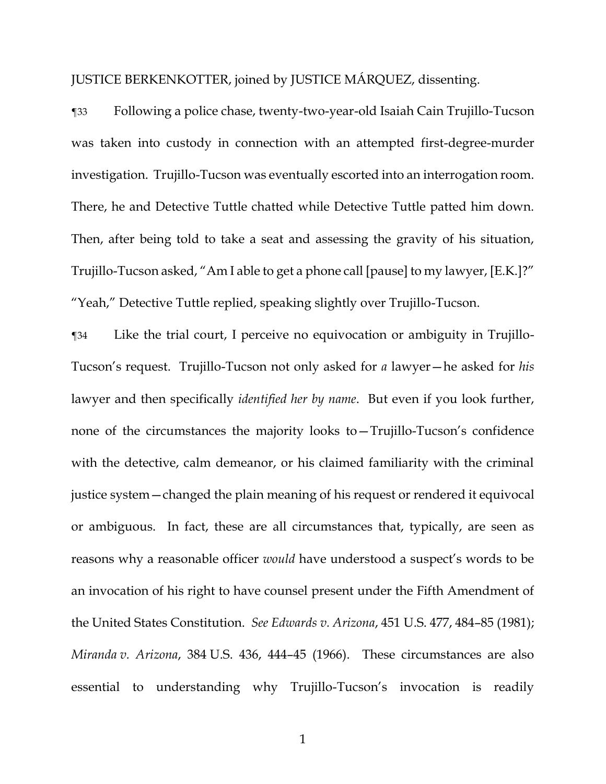JUSTICE BERKENKOTTER, joined by JUSTICE MÁRQUEZ, dissenting.

¶33 Following a police chase, twenty-two-year-old Isaiah Cain Trujillo-Tucson was taken into custody in connection with an attempted first-degree-murder investigation. Trujillo-Tucson was eventually escorted into an interrogation room. There, he and Detective Tuttle chatted while Detective Tuttle patted him down. Then, after being told to take a seat and assessing the gravity of his situation, Trujillo-Tucson asked, "Am I able to get a phone call [pause] to my lawyer, [E.K.]?" "Yeah," Detective Tuttle replied, speaking slightly over Trujillo-Tucson.

¶34 Like the trial court, I perceive no equivocation or ambiguity in Trujillo-Tucson's request. Trujillo-Tucson not only asked for *a* lawyer—he asked for *his* lawyer and then specifically *identified her by name*. But even if you look further, none of the circumstances the majority looks to—Trujillo-Tucson's confidence with the detective, calm demeanor, or his claimed familiarity with the criminal justice system—changed the plain meaning of his request or rendered it equivocal or ambiguous. In fact, these are all circumstances that, typically, are seen as reasons why a reasonable officer *would* have understood a suspect's words to be an invocation of his right to have counsel present under the Fifth Amendment of the United States Constitution. *See Edwards v. Arizona*, 451 U.S. 477, 484–85 (1981); *Miranda v. Arizona*, 384 U.S. 436, 444–45 (1966). These circumstances are also essential to understanding why Trujillo-Tucson's invocation is readily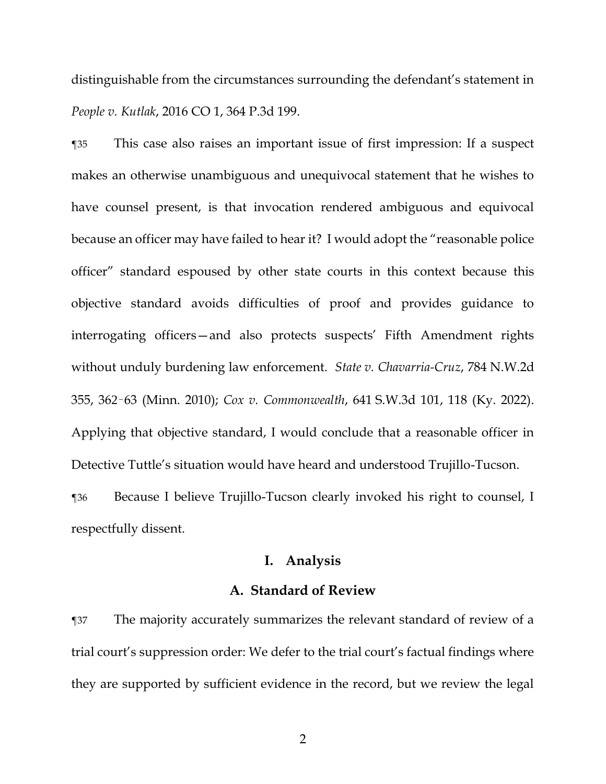distinguishable from the circumstances surrounding the defendant's statement in *People v. Kutlak*, 2016 CO 1, 364 P.3d 199.

¶35 This case also raises an important issue of first impression: If a suspect makes an otherwise unambiguous and unequivocal statement that he wishes to have counsel present, is that invocation rendered ambiguous and equivocal because an officer may have failed to hear it? I would adopt the "reasonable police officer" standard espoused by other state courts in this context because this objective standard avoids difficulties of proof and provides guidance to interrogating officers—and also protects suspects' Fifth Amendment rights without unduly burdening law enforcement. *State v. Chavarria-Cruz*, 784 N.W.2d 355, 362–63 (Minn. 2010); *Cox v. Commonwealth*, 641 S.W.3d 101, 118 (Ky. 2022). Applying that objective standard, I would conclude that a reasonable officer in Detective Tuttle's situation would have heard and understood Trujillo-Tucson. ¶36 Because I believe Trujillo-Tucson clearly invoked his right to counsel, I

respectfully dissent.

## **I. Analysis**

#### **A. Standard of Review**

¶37 The majority accurately summarizes the relevant standard of review of a trial court's suppression order: We defer to the trial court's factual findings where they are supported by sufficient evidence in the record, but we review the legal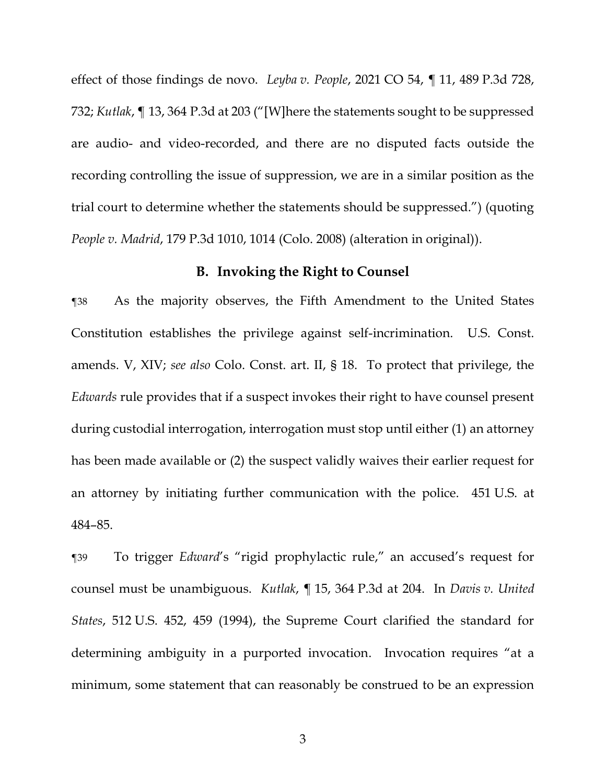effect of those findings de novo. *Leyba v. People*, 2021 CO 54, ¶ 11, 489 P.3d 728, 732; *Kutlak*, ¶ 13, 364 P.3d at 203 ("[W]here the statements sought to be suppressed are audio- and video-recorded, and there are no disputed facts outside the recording controlling the issue of suppression, we are in a similar position as the trial court to determine whether the statements should be suppressed.") (quoting *People v. Madrid*, 179 P.3d 1010, 1014 (Colo. 2008) (alteration in original)).

### **B. Invoking the Right to Counsel**

¶38 As the majority observes, the Fifth Amendment to the United States Constitution establishes the privilege against self-incrimination. U.S. Const. amends. V, XIV; *see also* Colo. Const. art. II, § 18. To protect that privilege, the *Edwards* rule provides that if a suspect invokes their right to have counsel present during custodial interrogation, interrogation must stop until either (1) an attorney has been made available or (2) the suspect validly waives their earlier request for an attorney by initiating further communication with the police. 451 U.S. at 484–85.

¶39 To trigger *Edward*'s "rigid prophylactic rule," an accused's request for counsel must be unambiguous. *Kutlak*, ¶ 15, 364 P.3d at 204. In *Davis v. United States*, 512 U.S. 452, 459 (1994), the Supreme Court clarified the standard for determining ambiguity in a purported invocation. Invocation requires "at a minimum, some statement that can reasonably be construed to be an expression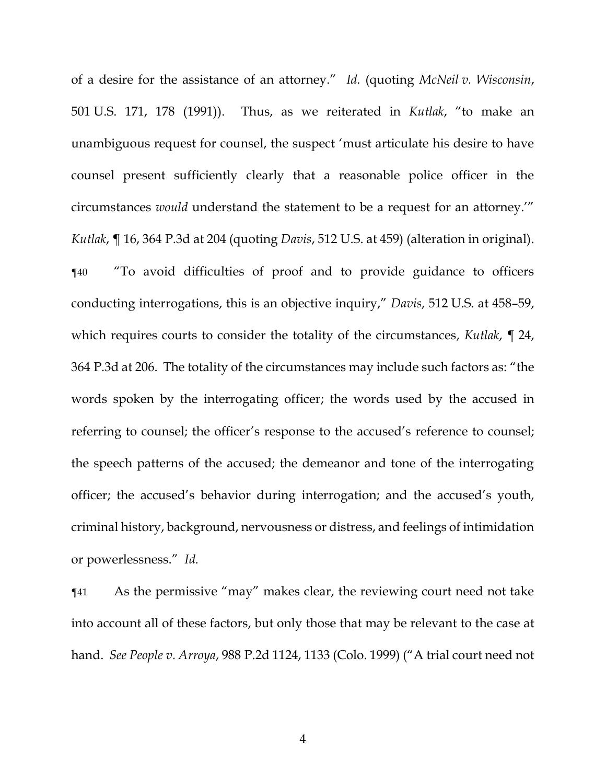of a desire for the assistance of an attorney." *Id.* (quoting *McNeil v. Wisconsin*, 501 U.S. 171, 178 (1991)). Thus, as we reiterated in *Kutlak*, "to make an unambiguous request for counsel, the suspect 'must articulate his desire to have counsel present sufficiently clearly that a reasonable police officer in the circumstances *would* understand the statement to be a request for an attorney.'" *Kutlak*, ¶ 16, 364 P.3d at 204 (quoting *Davis*, 512 U.S. at 459) (alteration in original). ¶40 "To avoid difficulties of proof and to provide guidance to officers conducting interrogations, this is an objective inquiry," *Davis*, 512 U.S. at 458–59, which requires courts to consider the totality of the circumstances, *Kutlak*, ¶ 24, 364 P.3d at 206. The totality of the circumstances may include such factors as: "the words spoken by the interrogating officer; the words used by the accused in referring to counsel; the officer's response to the accused's reference to counsel; the speech patterns of the accused; the demeanor and tone of the interrogating officer; the accused's behavior during interrogation; and the accused's youth, criminal history, background, nervousness or distress, and feelings of intimidation or powerlessness." *Id.*

¶41 As the permissive "may" makes clear, the reviewing court need not take into account all of these factors, but only those that may be relevant to the case at hand. *See People v. Arroya*, 988 P.2d 1124, 1133 (Colo. 1999) ("A trial court need not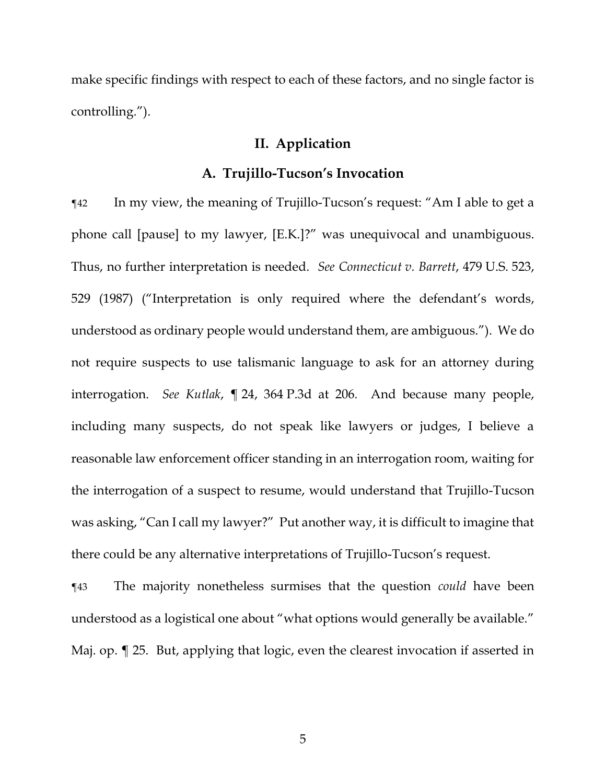make specific findings with respect to each of these factors, and no single factor is controlling.").

#### **II. Application**

#### **A. Trujillo-Tucson's Invocation**

¶42 In my view, the meaning of Trujillo-Tucson's request: "Am I able to get a phone call [pause] to my lawyer, [E.K.]?" was unequivocal and unambiguous. Thus, no further interpretation is needed. *See Connecticut v. Barrett*, 479 U.S. 523, 529 (1987) ("Interpretation is only required where the defendant's words, understood as ordinary people would understand them, are ambiguous."). We do not require suspects to use talismanic language to ask for an attorney during interrogation. *See Kutlak*, ¶ 24, 364 P.3d at 206*.* And because many people, including many suspects, do not speak like lawyers or judges, I believe a reasonable law enforcement officer standing in an interrogation room, waiting for the interrogation of a suspect to resume, would understand that Trujillo-Tucson was asking, "Can I call my lawyer?" Put another way, it is difficult to imagine that there could be any alternative interpretations of Trujillo-Tucson's request.

¶43 The majority nonetheless surmises that the question *could* have been understood as a logistical one about "what options would generally be available." Maj. op. ¶ 25. But, applying that logic, even the clearest invocation if asserted in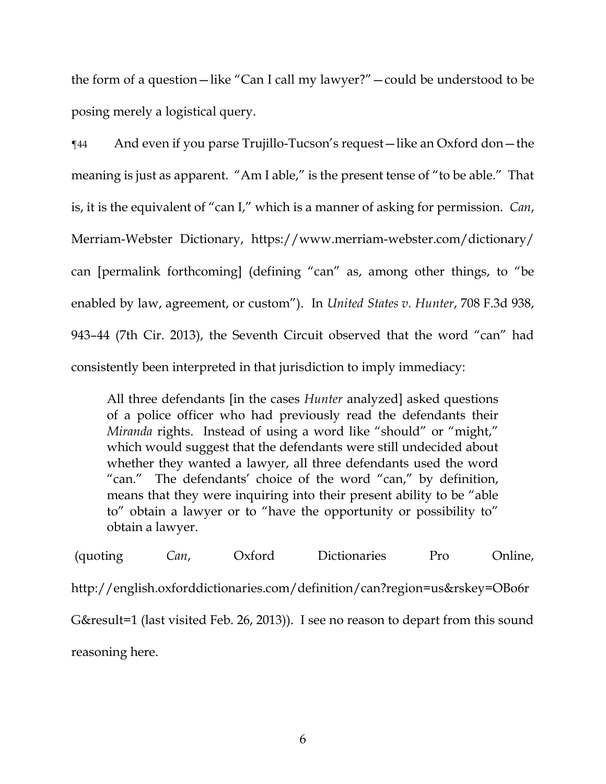the form of a question—like "Can I call my lawyer?"—could be understood to be posing merely a logistical query.

¶44 And even if you parse Trujillo-Tucson's request—like an Oxford don—the meaning is just as apparent. "Am I able," is the present tense of "to be able." That is, it is the equivalent of "can I," which is a manner of asking for permission. *Can*, Merriam-Webster Dictionary, https://www.merriam-webster.com/dictionary/ can [permalink forthcoming] (defining "can" as, among other things, to "be enabled by law, agreement, or custom"). In *United States v. Hunter*, 708 F.3d 938, 943–44 (7th Cir. 2013), the Seventh Circuit observed that the word "can" had consistently been interpreted in that jurisdiction to imply immediacy:

All three defendants [in the cases *Hunter* analyzed] asked questions of a police officer who had previously read the defendants their *Miranda* rights. Instead of using a word like "should" or "might," which would suggest that the defendants were still undecided about whether they wanted a lawyer, all three defendants used the word "can." The defendants' choice of the word "can," by definition, means that they were inquiring into their present ability to be "able to" obtain a lawyer or to "have the opportunity or possibility to" obtain a lawyer.

(quoting *Can*, Oxford Dictionaries Pro Online, http://english.oxforddictionaries.com/definition/can?region=us&rskey=OBo6r G&result=1 (last visited Feb. 26, 2013)). I see no reason to depart from this sound reasoning here.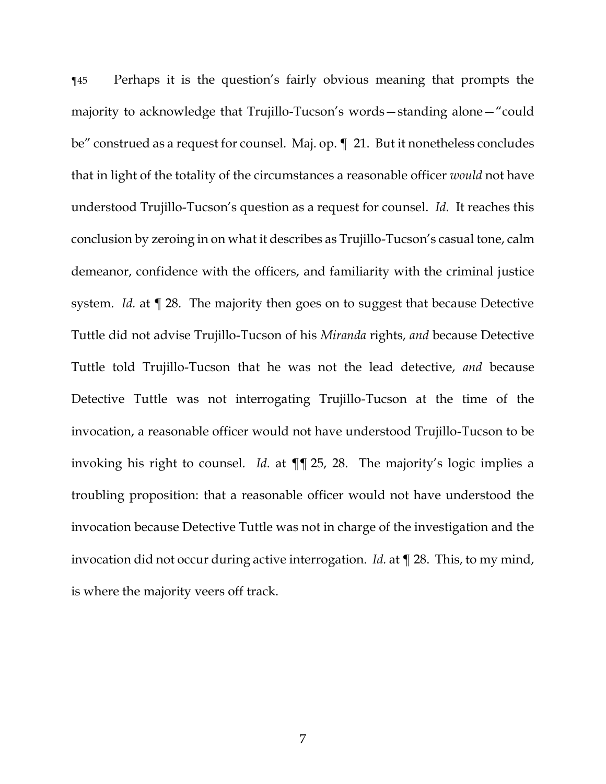¶45 Perhaps it is the question's fairly obvious meaning that prompts the majority to acknowledge that Trujillo-Tucson's words—standing alone—"could be" construed as a request for counsel. Maj. op. ¶ 21. But it nonetheless concludes that in light of the totality of the circumstances a reasonable officer *would* not have understood Trujillo-Tucson's question as a request for counsel. *Id.* It reaches this conclusion by zeroing in on what it describes as Trujillo-Tucson's casual tone, calm demeanor, confidence with the officers, and familiarity with the criminal justice system. *Id.* at ¶ 28. The majority then goes on to suggest that because Detective Tuttle did not advise Trujillo-Tucson of his *Miranda* rights, *and* because Detective Tuttle told Trujillo-Tucson that he was not the lead detective, *and* because Detective Tuttle was not interrogating Trujillo-Tucson at the time of the invocation, a reasonable officer would not have understood Trujillo-Tucson to be invoking his right to counsel. *Id.* at ¶¶ 25, 28. The majority's logic implies a troubling proposition: that a reasonable officer would not have understood the invocation because Detective Tuttle was not in charge of the investigation and the invocation did not occur during active interrogation. *Id.* at ¶ 28. This, to my mind, is where the majority veers off track.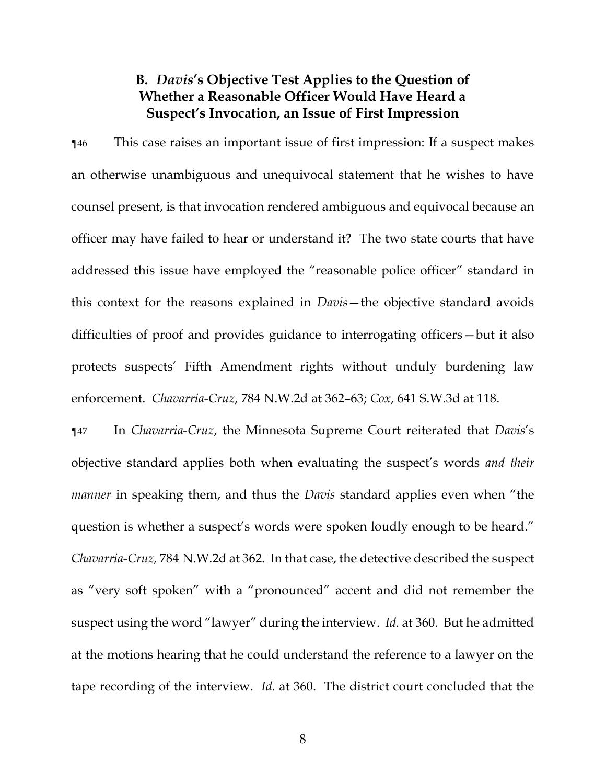# **B.** *Davis***'s Objective Test Applies to the Question of Whether a Reasonable Officer Would Have Heard a Suspect's Invocation, an Issue of First Impression**

¶46 This case raises an important issue of first impression: If a suspect makes an otherwise unambiguous and unequivocal statement that he wishes to have counsel present, is that invocation rendered ambiguous and equivocal because an officer may have failed to hear or understand it? The two state courts that have addressed this issue have employed the "reasonable police officer" standard in this context for the reasons explained in *Davis*—the objective standard avoids difficulties of proof and provides guidance to interrogating officers—but it also protects suspects' Fifth Amendment rights without unduly burdening law enforcement. *Chavarria-Cruz*, 784 N.W.2d at 362–63; *Cox*, 641 S.W.3d at 118.

¶47 In *Chavarria-Cruz*, the Minnesota Supreme Court reiterated that *Davis*'s objective standard applies both when evaluating the suspect's words *and their manner* in speaking them, and thus the *Davis* standard applies even when "the question is whether a suspect's words were spoken loudly enough to be heard." *Chavarria-Cruz,* 784 N.W.2d at 362. In that case, the detective described the suspect as "very soft spoken" with a "pronounced" accent and did not remember the suspect using the word "lawyer" during the interview. *Id.* at 360. But he admitted at the motions hearing that he could understand the reference to a lawyer on the tape recording of the interview. *Id.* at 360. The district court concluded that the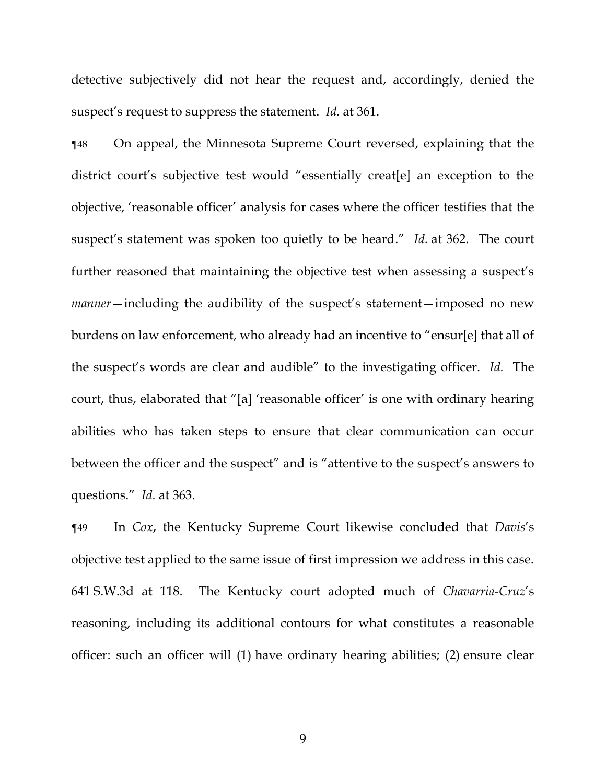detective subjectively did not hear the request and, accordingly, denied the suspect's request to suppress the statement. *Id.* at 361.

¶48 On appeal, the Minnesota Supreme Court reversed, explaining that the district court's subjective test would "essentially creat[e] an exception to the objective, 'reasonable officer' analysis for cases where the officer testifies that the suspect's statement was spoken too quietly to be heard." *Id.* at 362. The court further reasoned that maintaining the objective test when assessing a suspect's *manner*—including the audibility of the suspect's statement—imposed no new burdens on law enforcement, who already had an incentive to "ensur[e] that all of the suspect's words are clear and audible" to the investigating officer. *Id.* The court, thus, elaborated that "[a] 'reasonable officer' is one with ordinary hearing abilities who has taken steps to ensure that clear communication can occur between the officer and the suspect" and is "attentive to the suspect's answers to questions." *Id.* at 363.

¶49 In *Cox*, the Kentucky Supreme Court likewise concluded that *Davis*'s objective test applied to the same issue of first impression we address in this case. 641 S.W.3d at 118. The Kentucky court adopted much of *Chavarria-Cruz*'s reasoning, including its additional contours for what constitutes a reasonable officer: such an officer will (1) have ordinary hearing abilities; (2) ensure clear

9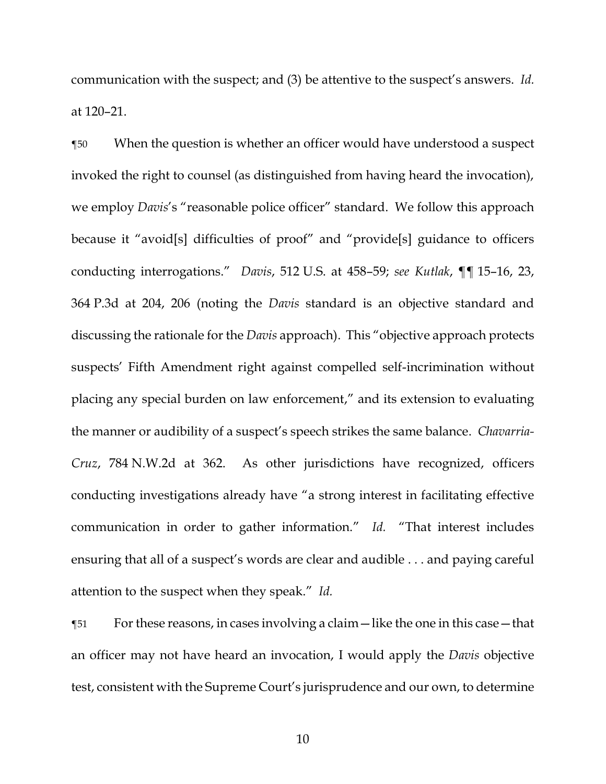communication with the suspect; and (3) be attentive to the suspect's answers. *Id.* at 120–21.

¶50 When the question is whether an officer would have understood a suspect invoked the right to counsel (as distinguished from having heard the invocation), we employ *Davis*'s "reasonable police officer" standard. We follow this approach because it "avoid[s] difficulties of proof" and "provide[s] guidance to officers conducting interrogations." *Davis*, 512 U.S. at 458–59; *see Kutlak*, ¶¶ 15–16, 23, 364 P.3d at 204, 206 (noting the *Davis* standard is an objective standard and discussing the rationale for the *Davis* approach). This "objective approach protects suspects' Fifth Amendment right against compelled self-incrimination without placing any special burden on law enforcement," and its extension to evaluating the manner or audibility of a suspect's speech strikes the same balance. *Chavarria-Cruz*, 784 N.W.2d at 362. As other jurisdictions have recognized, officers conducting investigations already have "a strong interest in facilitating effective communication in order to gather information." *Id.* "That interest includes ensuring that all of a suspect's words are clear and audible . . . and paying careful attention to the suspect when they speak." *Id.*

¶51 For these reasons, in cases involving a claim—like the one in this case—that an officer may not have heard an invocation, I would apply the *Davis* objective test, consistent with the Supreme Court's jurisprudence and our own, to determine

10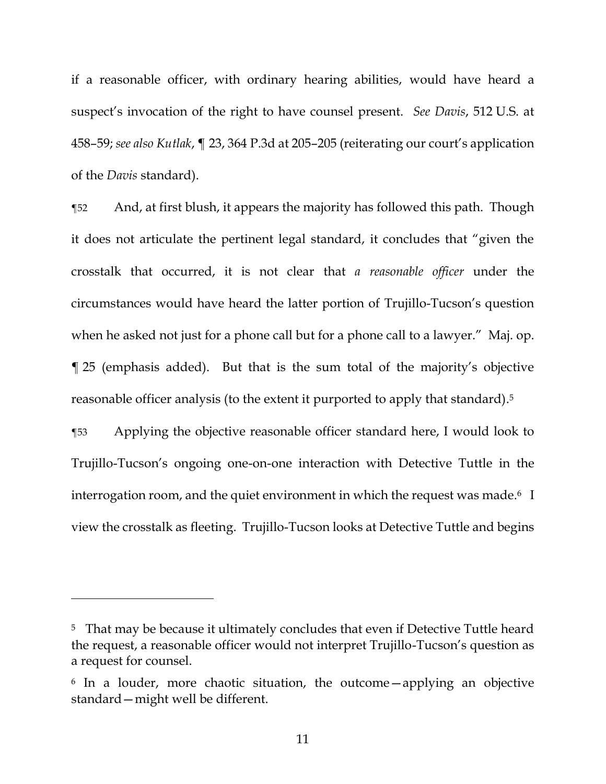if a reasonable officer, with ordinary hearing abilities, would have heard a suspect's invocation of the right to have counsel present. *See Davis*, 512 U.S. at 458–59; *see also Kutlak*, ¶ 23, 364 P.3d at 205–205 (reiterating our court's application of the *Davis* standard).

¶52 And, at first blush, it appears the majority has followed this path. Though it does not articulate the pertinent legal standard, it concludes that "given the crosstalk that occurred, it is not clear that *a reasonable officer* under the circumstances would have heard the latter portion of Trujillo-Tucson's question when he asked not just for a phone call but for a phone call to a lawyer." Maj. op. ¶ 25 (emphasis added). But that is the sum total of the majority's objective reasonable officer analysis (to the extent it purported to apply that standard). 5

¶53 Applying the objective reasonable officer standard here, I would look to Trujillo-Tucson's ongoing one-on-one interaction with Detective Tuttle in the interrogation room, and the quiet environment in which the request was made. $6\;$  I view the crosstalk as fleeting. Trujillo-Tucson looks at Detective Tuttle and begins

<sup>&</sup>lt;sup>5</sup> That may be because it ultimately concludes that even if Detective Tuttle heard the request, a reasonable officer would not interpret Trujillo-Tucson's question as a request for counsel.

<sup>6</sup> In a louder, more chaotic situation, the outcome—applying an objective standard—might well be different.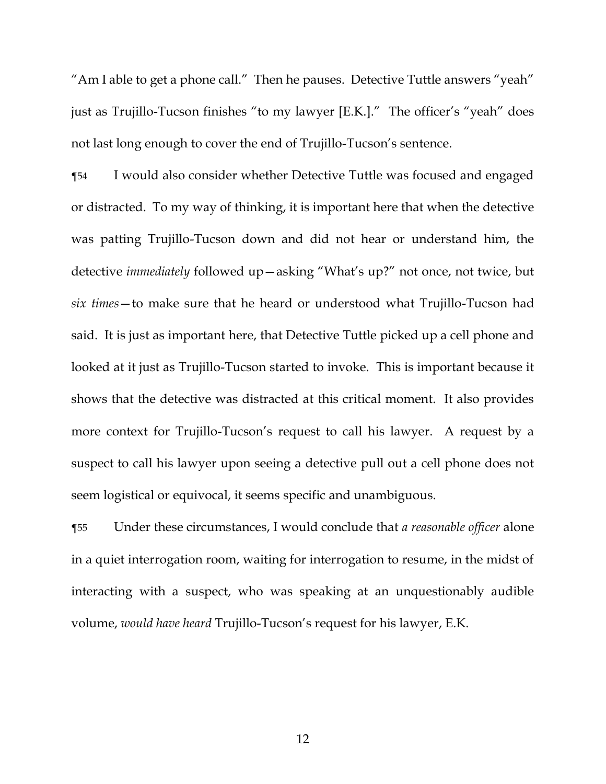"Am I able to get a phone call." Then he pauses. Detective Tuttle answers "yeah" just as Trujillo-Tucson finishes "to my lawyer [E.K.]." The officer's "yeah" does not last long enough to cover the end of Trujillo-Tucson's sentence.

¶54 I would also consider whether Detective Tuttle was focused and engaged or distracted. To my way of thinking, it is important here that when the detective was patting Trujillo-Tucson down and did not hear or understand him, the detective *immediately* followed up—asking "What's up?" not once, not twice, but *six times*—to make sure that he heard or understood what Trujillo-Tucson had said. It is just as important here, that Detective Tuttle picked up a cell phone and looked at it just as Trujillo-Tucson started to invoke. This is important because it shows that the detective was distracted at this critical moment. It also provides more context for Trujillo-Tucson's request to call his lawyer. A request by a suspect to call his lawyer upon seeing a detective pull out a cell phone does not seem logistical or equivocal, it seems specific and unambiguous.

¶55 Under these circumstances, I would conclude that *a reasonable officer* alone in a quiet interrogation room, waiting for interrogation to resume, in the midst of interacting with a suspect, who was speaking at an unquestionably audible volume, *would have heard* Trujillo-Tucson's request for his lawyer, E.K.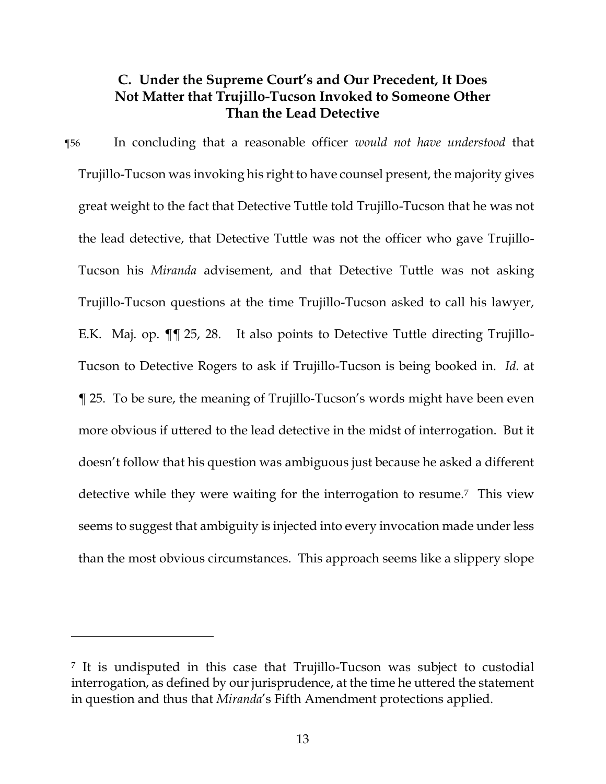# **C. Under the Supreme Court's and Our Precedent, It Does Not Matter that Trujillo-Tucson Invoked to Someone Other Than the Lead Detective**

¶56 In concluding that a reasonable officer *would not have understood* that Trujillo-Tucson was invoking his right to have counsel present, the majority gives great weight to the fact that Detective Tuttle told Trujillo-Tucson that he was not the lead detective, that Detective Tuttle was not the officer who gave Trujillo-Tucson his *Miranda* advisement, and that Detective Tuttle was not asking Trujillo-Tucson questions at the time Trujillo-Tucson asked to call his lawyer, E.K. Maj. op. ¶¶ 25, 28. It also points to Detective Tuttle directing Trujillo-Tucson to Detective Rogers to ask if Trujillo-Tucson is being booked in. *Id.* at ¶ 25. To be sure, the meaning of Trujillo-Tucson's words might have been even more obvious if uttered to the lead detective in the midst of interrogation. But it doesn't follow that his question was ambiguous just because he asked a different detective while they were waiting for the interrogation to resume.7 This view seems to suggest that ambiguity is injected into every invocation made under less than the most obvious circumstances. This approach seems like a slippery slope

<sup>7</sup> It is undisputed in this case that Trujillo-Tucson was subject to custodial interrogation, as defined by our jurisprudence, at the time he uttered the statement in question and thus that *Miranda*'s Fifth Amendment protections applied.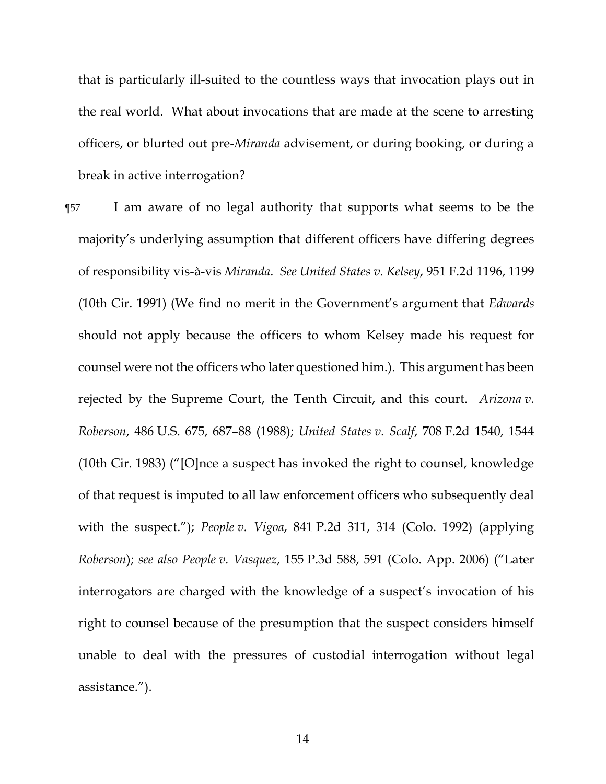that is particularly ill-suited to the countless ways that invocation plays out in the real world. What about invocations that are made at the scene to arresting officers, or blurted out pre-*Miranda* advisement, or during booking, or during a break in active interrogation?

¶57 I am aware of no legal authority that supports what seems to be the majority's underlying assumption that different officers have differing degrees of responsibility vis-à-vis *Miranda*. *See United States v. Kelsey*, 951 F.2d 1196, 1199 (10th Cir. 1991) (We find no merit in the Government's argument that *Edwards* should not apply because the officers to whom Kelsey made his request for counsel were not the officers who later questioned him.). This argument has been rejected by the Supreme Court, the Tenth Circuit, and this court. *Arizona v. Roberson*, 486 U.S. 675, 687–88 (1988); *United States v. Scalf*, 708 F.2d 1540, 1544 (10th Cir. 1983) ("[O]nce a suspect has invoked the right to counsel, knowledge of that request is imputed to all law enforcement officers who subsequently deal with the suspect."); *People v. Vigoa*, 841 P.2d 311, 314 (Colo. 1992) (applying *Roberson*); *see also People v. Vasquez*, 155 P.3d 588, 591 (Colo. App. 2006) ("Later interrogators are charged with the knowledge of a suspect's invocation of his right to counsel because of the presumption that the suspect considers himself unable to deal with the pressures of custodial interrogation without legal assistance.").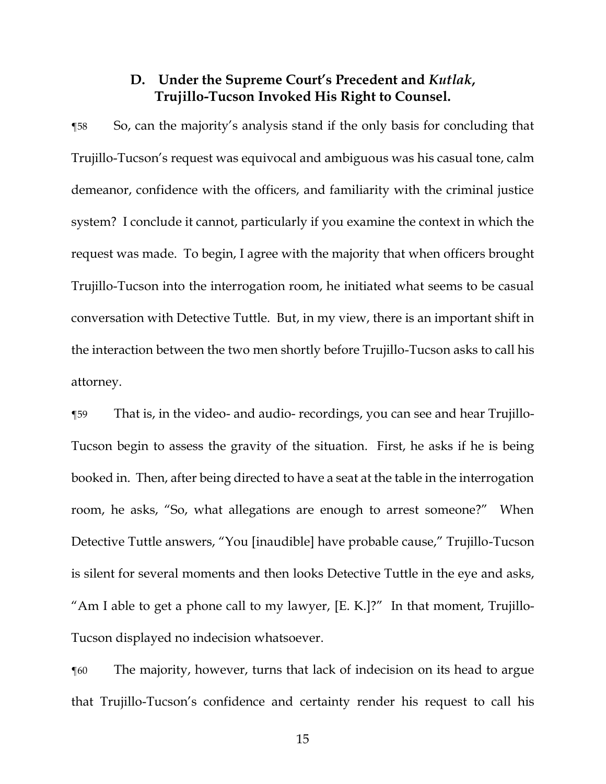# **D. Under the Supreme Court's Precedent and** *Kutlak***, Trujillo-Tucson Invoked His Right to Counsel.**

¶58 So, can the majority's analysis stand if the only basis for concluding that Trujillo-Tucson's request was equivocal and ambiguous was his casual tone, calm demeanor, confidence with the officers, and familiarity with the criminal justice system? I conclude it cannot, particularly if you examine the context in which the request was made. To begin, I agree with the majority that when officers brought Trujillo-Tucson into the interrogation room, he initiated what seems to be casual conversation with Detective Tuttle. But, in my view, there is an important shift in the interaction between the two men shortly before Trujillo-Tucson asks to call his attorney.

¶59 That is, in the video- and audio- recordings, you can see and hear Trujillo-Tucson begin to assess the gravity of the situation. First, he asks if he is being booked in. Then, after being directed to have a seat at the table in the interrogation room, he asks, "So, what allegations are enough to arrest someone?" When Detective Tuttle answers, "You [inaudible] have probable cause," Trujillo-Tucson is silent for several moments and then looks Detective Tuttle in the eye and asks, "Am I able to get a phone call to my lawyer, [E. K.]?" In that moment, Trujillo-Tucson displayed no indecision whatsoever.

¶60 The majority, however, turns that lack of indecision on its head to argue that Trujillo-Tucson's confidence and certainty render his request to call his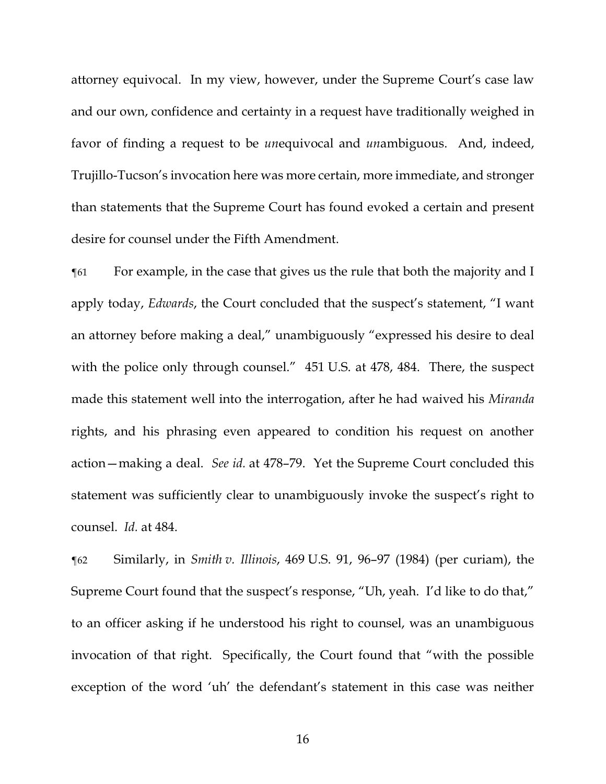attorney equivocal. In my view, however, under the Supreme Court's case law and our own, confidence and certainty in a request have traditionally weighed in favor of finding a request to be *un*equivocal and *un*ambiguous. And, indeed, Trujillo-Tucson's invocation here was more certain, more immediate, and stronger than statements that the Supreme Court has found evoked a certain and present desire for counsel under the Fifth Amendment.

¶61 For example, in the case that gives us the rule that both the majority and I apply today, *Edwards*, the Court concluded that the suspect's statement, "I want an attorney before making a deal," unambiguously "expressed his desire to deal with the police only through counsel." 451 U.S. at 478, 484. There, the suspect made this statement well into the interrogation, after he had waived his *Miranda* rights, and his phrasing even appeared to condition his request on another action—making a deal. *See id.* at 478–79. Yet the Supreme Court concluded this statement was sufficiently clear to unambiguously invoke the suspect's right to counsel. *Id.* at 484.

¶62 Similarly, in *Smith v. Illinois*, 469 U.S. 91, 96–97 (1984) (per curiam), the Supreme Court found that the suspect's response, "Uh, yeah. I'd like to do that," to an officer asking if he understood his right to counsel, was an unambiguous invocation of that right. Specifically, the Court found that "with the possible exception of the word 'uh' the defendant's statement in this case was neither

16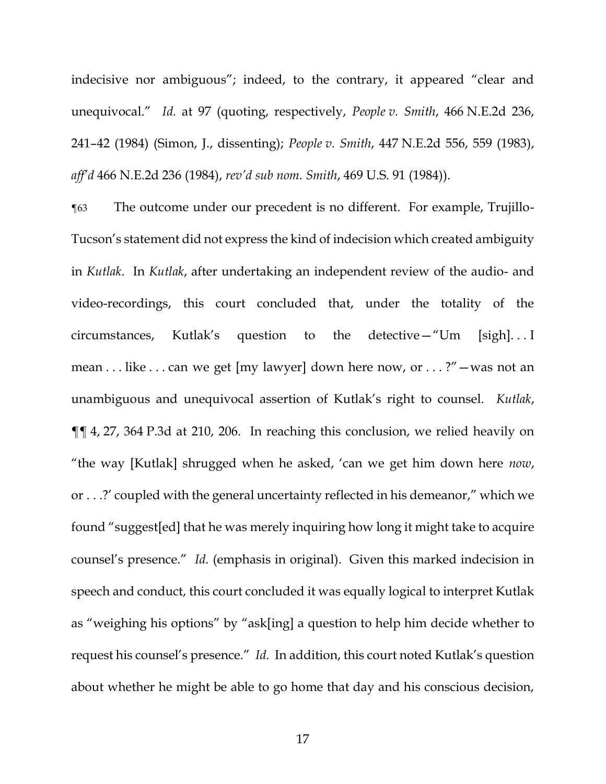indecisive nor ambiguous"; indeed, to the contrary, it appeared "clear and unequivocal." *Id.* at 97 (quoting, respectively, *People v. Smith*, 466 N.E.2d 236, 241–42 (1984) (Simon, J., dissenting); *People v. Smith*, 447 N.E.2d 556, 559 (1983), *aff'd* 466 N.E.2d 236 (1984), *rev'd sub nom. Smith*, 469 U.S. 91 (1984)).

¶63 The outcome under our precedent is no different. For example, Trujillo-Tucson's statement did not express the kind of indecision which created ambiguity in *Kutlak*. In *Kutlak*, after undertaking an independent review of the audio- and video-recordings, this court concluded that, under the totality of the circumstances, Kutlak's question to the detective—"Um [sigh]. . . I mean . . . like . . . can we get [my lawyer] down here now, or . . . ?"—was not an unambiguous and unequivocal assertion of Kutlak's right to counsel. *Kutlak*, ¶¶ 4, 27, 364 P.3d at 210, 206. In reaching this conclusion, we relied heavily on "the way [Kutlak] shrugged when he asked, 'can we get him down here *now*, or . . .?' coupled with the general uncertainty reflected in his demeanor," which we found "suggest[ed] that he was merely inquiring how long it might take to acquire counsel's presence." *Id.* (emphasis in original). Given this marked indecision in speech and conduct, this court concluded it was equally logical to interpret Kutlak as "weighing his options" by "ask[ing] a question to help him decide whether to request his counsel's presence." *Id.* In addition, this court noted Kutlak's question about whether he might be able to go home that day and his conscious decision,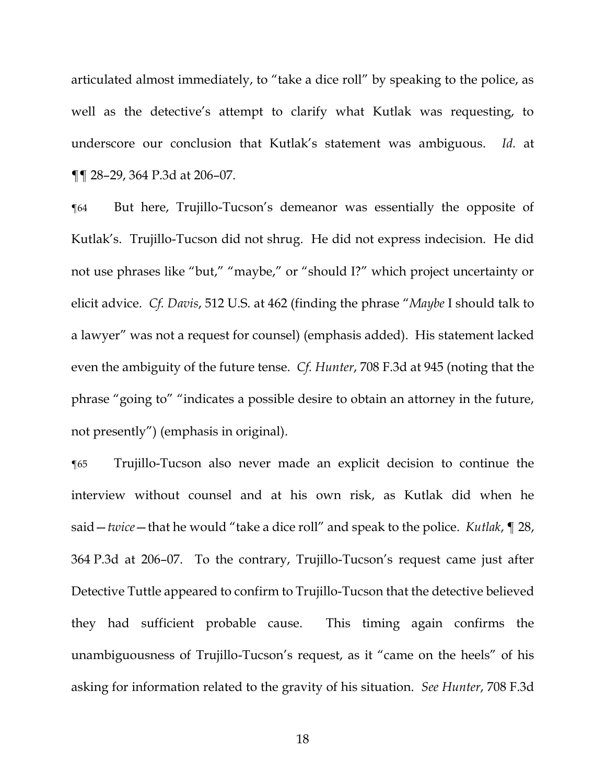articulated almost immediately, to "take a dice roll" by speaking to the police, as well as the detective's attempt to clarify what Kutlak was requesting, to underscore our conclusion that Kutlak's statement was ambiguous. *Id.* at ¶¶ 28–29, 364 P.3d at 206–07.

¶64 But here, Trujillo-Tucson's demeanor was essentially the opposite of Kutlak's. Trujillo-Tucson did not shrug. He did not express indecision. He did not use phrases like "but," "maybe," or "should I?" which project uncertainty or elicit advice. *Cf. Davis*, 512 U.S. at 462 (finding the phrase "*Maybe* I should talk to a lawyer" was not a request for counsel) (emphasis added). His statement lacked even the ambiguity of the future tense. *Cf. Hunter*, 708 F.3d at 945 (noting that the phrase "going to" "indicates a possible desire to obtain an attorney in the future, not presently") (emphasis in original).

¶65 Trujillo-Tucson also never made an explicit decision to continue the interview without counsel and at his own risk, as Kutlak did when he said—*twice*—that he would "take a dice roll" and speak to the police. *Kutlak*, ¶ 28, 364 P.3d at 206–07. To the contrary, Trujillo-Tucson's request came just after Detective Tuttle appeared to confirm to Trujillo-Tucson that the detective believed they had sufficient probable cause. This timing again confirms the unambiguousness of Trujillo-Tucson's request, as it "came on the heels" of his asking for information related to the gravity of his situation. *See Hunter*, 708 F.3d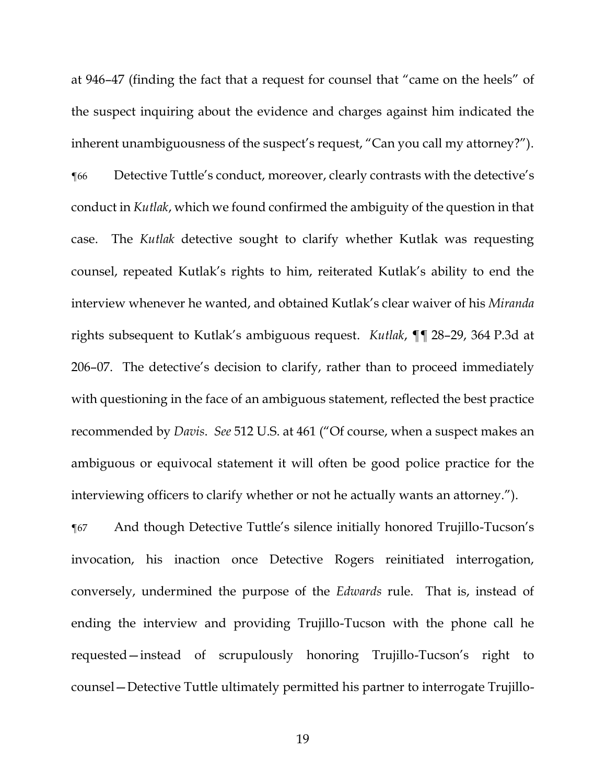at 946–47 (finding the fact that a request for counsel that "came on the heels" of the suspect inquiring about the evidence and charges against him indicated the inherent unambiguousness of the suspect's request, "Can you call my attorney?"). ¶66 Detective Tuttle's conduct, moreover, clearly contrasts with the detective's conduct in *Kutlak*, which we found confirmed the ambiguity of the question in that case. The *Kutlak* detective sought to clarify whether Kutlak was requesting counsel, repeated Kutlak's rights to him, reiterated Kutlak's ability to end the interview whenever he wanted, and obtained Kutlak's clear waiver of his *Miranda* rights subsequent to Kutlak's ambiguous request. *Kutlak*, ¶¶ 28–29, 364 P.3d at 206–07. The detective's decision to clarify, rather than to proceed immediately with questioning in the face of an ambiguous statement, reflected the best practice recommended by *Davis*. *See* 512 U.S. at 461 ("Of course, when a suspect makes an ambiguous or equivocal statement it will often be good police practice for the interviewing officers to clarify whether or not he actually wants an attorney.").

¶67 And though Detective Tuttle's silence initially honored Trujillo-Tucson's invocation, his inaction once Detective Rogers reinitiated interrogation, conversely, undermined the purpose of the *Edwards* rule. That is, instead of ending the interview and providing Trujillo-Tucson with the phone call he requested—instead of scrupulously honoring Trujillo-Tucson's right to counsel—Detective Tuttle ultimately permitted his partner to interrogate Trujillo-

19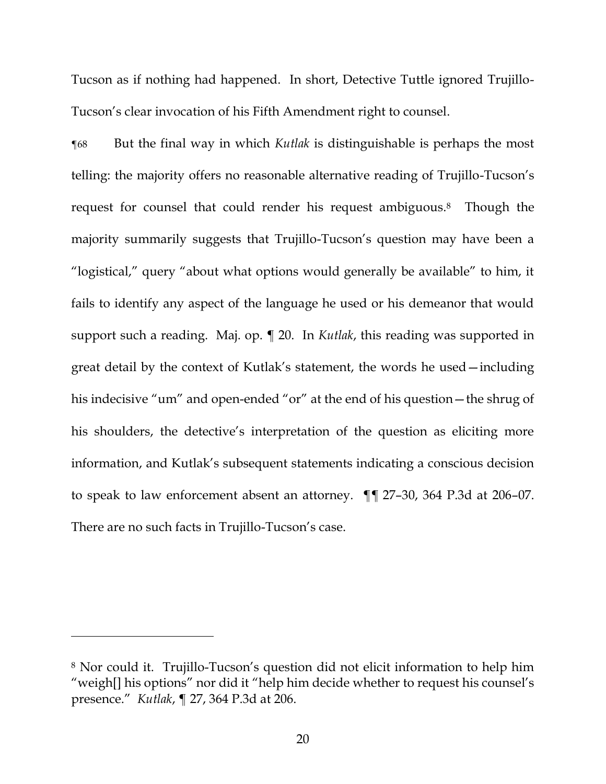Tucson as if nothing had happened. In short, Detective Tuttle ignored Trujillo-Tucson's clear invocation of his Fifth Amendment right to counsel.

¶68 But the final way in which *Kutlak* is distinguishable is perhaps the most telling: the majority offers no reasonable alternative reading of Trujillo-Tucson's request for counsel that could render his request ambiguous.<sup>8</sup> Though the majority summarily suggests that Trujillo-Tucson's question may have been a "logistical," query "about what options would generally be available" to him, it fails to identify any aspect of the language he used or his demeanor that would support such a reading. Maj. op. ¶ 20. In *Kutlak*, this reading was supported in great detail by the context of Kutlak's statement, the words he used—including his indecisive "um" and open-ended "or" at the end of his question—the shrug of his shoulders, the detective's interpretation of the question as eliciting more information, and Kutlak's subsequent statements indicating a conscious decision to speak to law enforcement absent an attorney. ¶¶ 27–30, 364 P.3d at 206–07. There are no such facts in Trujillo-Tucson's case.

<sup>8</sup> Nor could it. Trujillo-Tucson's question did not elicit information to help him "weigh[] his options" nor did it "help him decide whether to request his counsel's presence." *Kutlak*, ¶ 27, 364 P.3d at 206.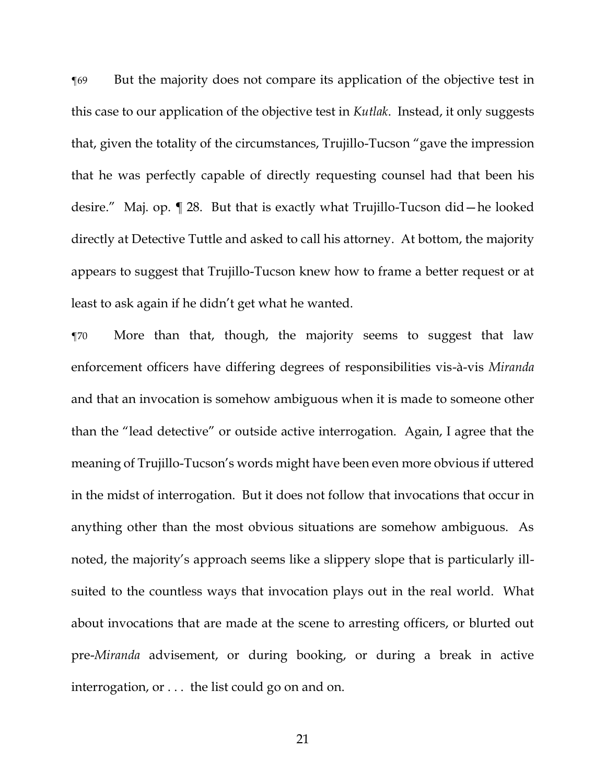¶69 But the majority does not compare its application of the objective test in this case to our application of the objective test in *Kutlak*. Instead, it only suggests that, given the totality of the circumstances, Trujillo-Tucson "gave the impression that he was perfectly capable of directly requesting counsel had that been his desire." Maj. op. ¶ 28. But that is exactly what Trujillo-Tucson did—he looked directly at Detective Tuttle and asked to call his attorney. At bottom, the majority appears to suggest that Trujillo-Tucson knew how to frame a better request or at least to ask again if he didn't get what he wanted.

¶70 More than that, though, the majority seems to suggest that law enforcement officers have differing degrees of responsibilities vis-à-vis *Miranda*  and that an invocation is somehow ambiguous when it is made to someone other than the "lead detective" or outside active interrogation. Again, I agree that the meaning of Trujillo-Tucson's words might have been even more obvious if uttered in the midst of interrogation. But it does not follow that invocations that occur in anything other than the most obvious situations are somehow ambiguous. As noted, the majority's approach seems like a slippery slope that is particularly illsuited to the countless ways that invocation plays out in the real world. What about invocations that are made at the scene to arresting officers, or blurted out pre-*Miranda* advisement, or during booking, or during a break in active interrogation, or . . . the list could go on and on.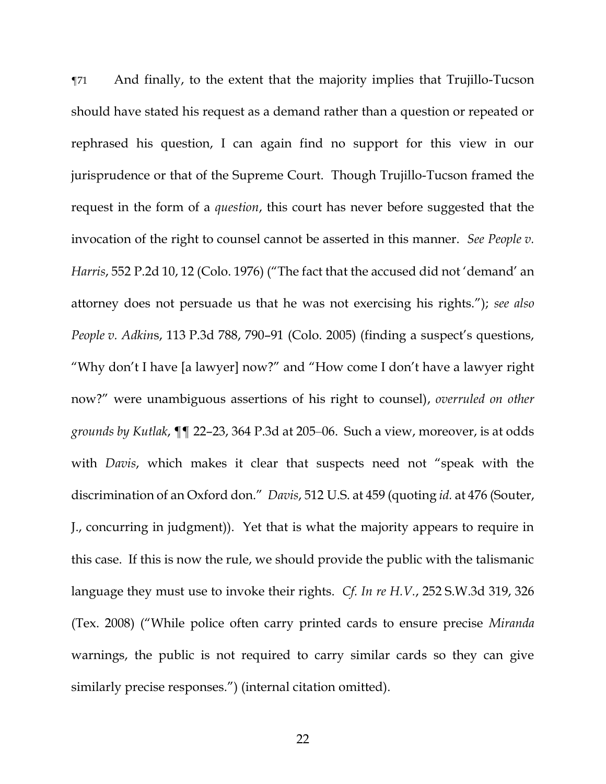¶71 And finally, to the extent that the majority implies that Trujillo-Tucson should have stated his request as a demand rather than a question or repeated or rephrased his question, I can again find no support for this view in our jurisprudence or that of the Supreme Court. Though Trujillo-Tucson framed the request in the form of a *question*, this court has never before suggested that the invocation of the right to counsel cannot be asserted in this manner. *See People v. Harris*, 552 P.2d 10, 12 (Colo. 1976) ("The fact that the accused did not 'demand' an attorney does not persuade us that he was not exercising his rights."); *see also People v. Adkin*s, 113 P.3d 788, 790–91 (Colo. 2005) (finding a suspect's questions, "Why don't I have [a lawyer] now?" and "How come I don't have a lawyer right now?" were unambiguous assertions of his right to counsel), *overruled on other grounds by Kutlak*, ¶¶ 22–23, 364 P.3d at 205–06. Such a view, moreover, is at odds with *Davis*, which makes it clear that suspects need not "speak with the discrimination of an Oxford don." *Davis*, 512 U.S. at 459 (quoting *id.* at 476 (Souter, J., concurring in judgment)). Yet that is what the majority appears to require in this case. If this is now the rule, we should provide the public with the talismanic language they must use to invoke their rights. *Cf. In re H.V.*, 252 S.W.3d 319, 326 (Tex. 2008) ("While police often carry printed cards to ensure precise *Miranda* warnings, the public is not required to carry similar cards so they can give similarly precise responses.") (internal citation omitted).